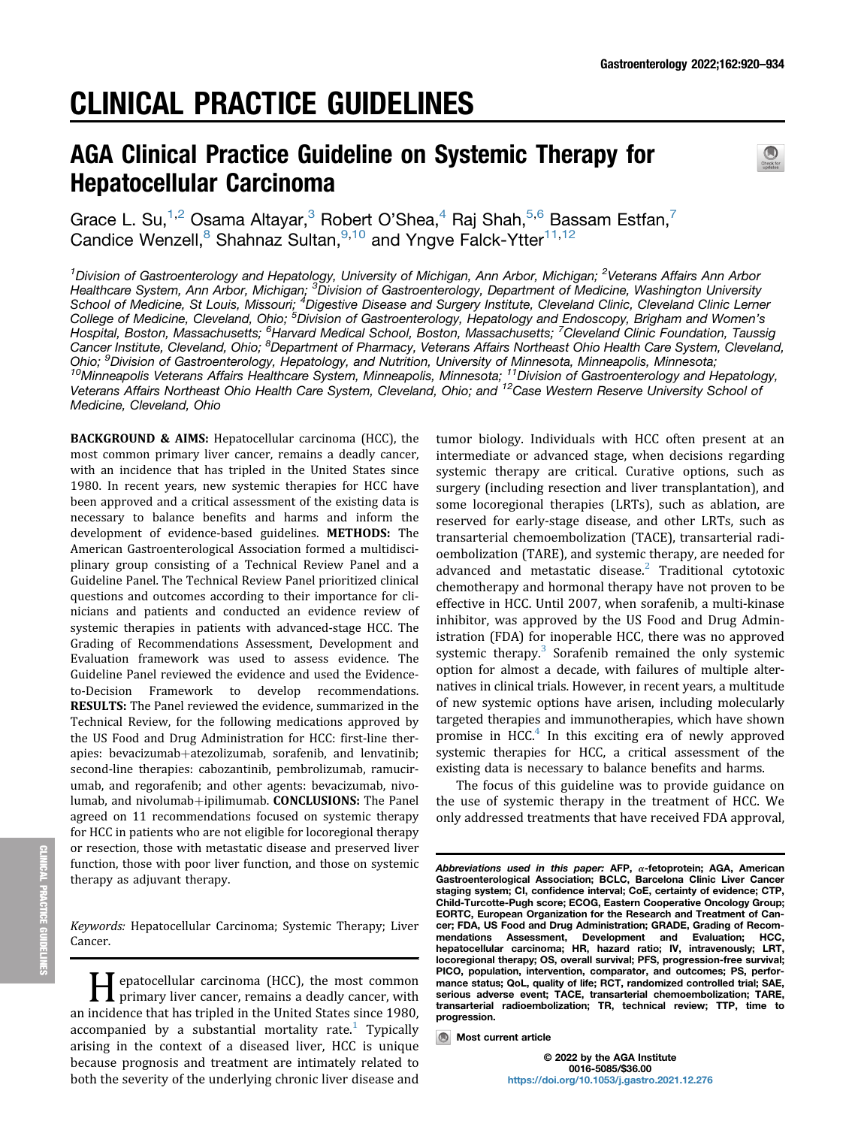# CLINICAL PRACTICE GUIDELINES

# AGA Clinical Practice Guideline on Systemic Therapy for Hepatocellular Carcinoma



Grace L. Su,<sup>1,2</sup> Osama Altayar,<sup>3</sup> Robert O'Shea,<sup>4</sup> Raj Shah,<sup>5,6</sup> Bassam Estfan,<sup>7</sup> Candice Wenzell, <sup>8</sup> Shahnaz Sultan, <sup>9,10</sup> and Yngve Falck-Ytter<sup>11,12</sup>

<sup>1</sup>Division of Gastroenterology and Hepatology, University of Michigan, Ann Arbor, Michigan; <sup>2</sup>Veterans Affairs Ann Arbor Healthcare System, Ann Arbor, Michigan; <sup>3</sup>Division of Gastroenterology, Department of Medicine, Washington University School of Medicine, St Louis, Missouri; <sup>4</sup>Digestive Disease and Surgery Institute, Cleveland Clinic, Cleveland Clinic Lerner College of Medicine, Cleveland, Ohio; <sup>5</sup>Division of Gastroenterology, Hepatology and Endoscopy, Brigham and Women's Hospital, Boston, Massachusetts; <sup>6</sup>Harvard Medical School, Boston, Massachusetts; <sup>7</sup>Cleveland Clinic Foundation, Taussig Cancer Institute, Cleveland, Ohio; <sup>8</sup>Department of Pharmacy, Veterans Affairs Northeast Ohio Health Care System, Cleveland, Ohio; <sup>9</sup>Division of Gastroenterology, Hepatology, and Nutrition, University of Minnesota, Minneapolis, Minnesota; Ohio; <sup>9</sup>Division of Gastroenterology, Hepatology, and Nutrition, University of Minnesota, Minneapolis, Minnesota;<br><sup>10</sup>Minneapolis Veterans Affairs Healthcare System, Minneapolis, Minnesota; <sup>11</sup>Division of Gastroenterolog Veterans Affairs Northeast Ohio Health Care System, Cleveland, Ohio; and <sup>12</sup>Case Western Reserve University School of Medicine, Cleveland, Ohio

BACKGROUND & AIMS: Hepatocellular carcinoma (HCC), the most common primary liver cancer, remains a deadly cancer, with an incidence that has tripled in the United States since 1980. In recent years, new systemic therapies for HCC have been approved and a critical assessment of the existing data is necessary to balance benefits and harms and inform the development of evidence-based guidelines. METHODS: The American Gastroenterological Association formed a multidisciplinary group consisting of a Technical Review Panel and a Guideline Panel. The Technical Review Panel prioritized clinical questions and outcomes according to their importance for clinicians and patients and conducted an evidence review of systemic therapies in patients with advanced-stage HCC. The Grading of Recommendations Assessment, Development and Evaluation framework was used to assess evidence. The Guideline Panel reviewed the evidence and used the Evidenceto-Decision Framework to develop recommendations. RESULTS: The Panel reviewed the evidence, summarized in the Technical Review, for the following medications approved by the US Food and Drug Administration for HCC: first-line therapies: bevacizumab+atezolizumab, sorafenib, and lenvatinib; second-line therapies: cabozantinib, pembrolizumab, ramucirumab, and regorafenib; and other agents: bevacizumab, nivolumab, and nivolumab+ipilimumab. CONCLUSIONS: The Panel agreed on 11 recommendations focused on systemic therapy for HCC in patients who are not eligible for locoregional therapy or resection, those with metastatic disease and preserved liver function, those with poor liver function, and those on systemic therapy as adjuvant therapy.

Keywords: Hepatocellular Carcinoma; Systemic Therapy; Liver Cancer.

**Hepatocellular carcinoma (HCC), the most common**<br>primary liver cancer, remains a deadly cancer, with<br>incidence that has tripled in the United States since 1000. an incidence that has tripled in the United States since 1980, accompanied by a substantial mortality rate.<sup>[1](#page-13-0)</sup> Typically arising in the context of a diseased liver, HCC is unique because prognosis and treatment are intimately related to both the severity of the underlying chronic liver disease and

tumor biology. Individuals with HCC often present at an intermediate or advanced stage, when decisions regarding systemic therapy are critical. Curative options, such as surgery (including resection and liver transplantation), and some locoregional therapies (LRTs), such as ablation, are reserved for early-stage disease, and other LRTs, such as transarterial chemoembolization (TACE), transarterial radioembolization (TARE), and systemic therapy, are needed for advanced and metastatic disease. $2$  Traditional cytotoxic chemotherapy and hormonal therapy have not proven to be effective in HCC. Until 2007, when sorafenib, a multi-kinase inhibitor, was approved by the US Food and Drug Administration (FDA) for inoperable HCC, there was no approved systemic therapy.<sup>[3](#page-13-2)</sup> Sorafenib remained the only systemic option for almost a decade, with failures of multiple alternatives in clinical trials. However, in recent years, a multitude of new systemic options have arisen, including molecularly targeted therapies and immunotherapies, which have shown promise in HCC $<sup>4</sup>$  In this exciting era of newly approved</sup> systemic therapies for HCC, a critical assessment of the existing data is necessary to balance benefits and harms.

The focus of this guideline was to provide guidance on the use of systemic therapy in the treatment of HCC. We only addressed treatments that have received FDA approval,

Abbreviations used in this paper: AFP, a-fetoprotein; AGA, American<br>Gastroenterological Association; BCLC, Barcelona Clinic Liver Cancer staging system; CI, confidence interval; CoE, certainty of evidence; CTP, Child-Turcotte-Pugh score; ECOG, Eastern Cooperative Oncology Group; EORTC, European Organization for the Research and Treatment of Cancer; FDA, US Food and Drug Administration; GRADE, Grading of Recommendations Assessment, Development and Evaluation; HCC, hepatocellular carcinoma; HR, hazard ratio; IV, intravenously; LRT, locoregional therapy; OS, overall survival; PFS, progression-free survival; PICO, population, intervention, comparator, and outcomes; PS, performance status; QoL, quality of life; RCT, randomized controlled trial; SAE, serious adverse event; TACE, transarterial chemoembolization; TARE, transarterial radioembolization; TR, technical review; TTP, time to progression.

**Most current article**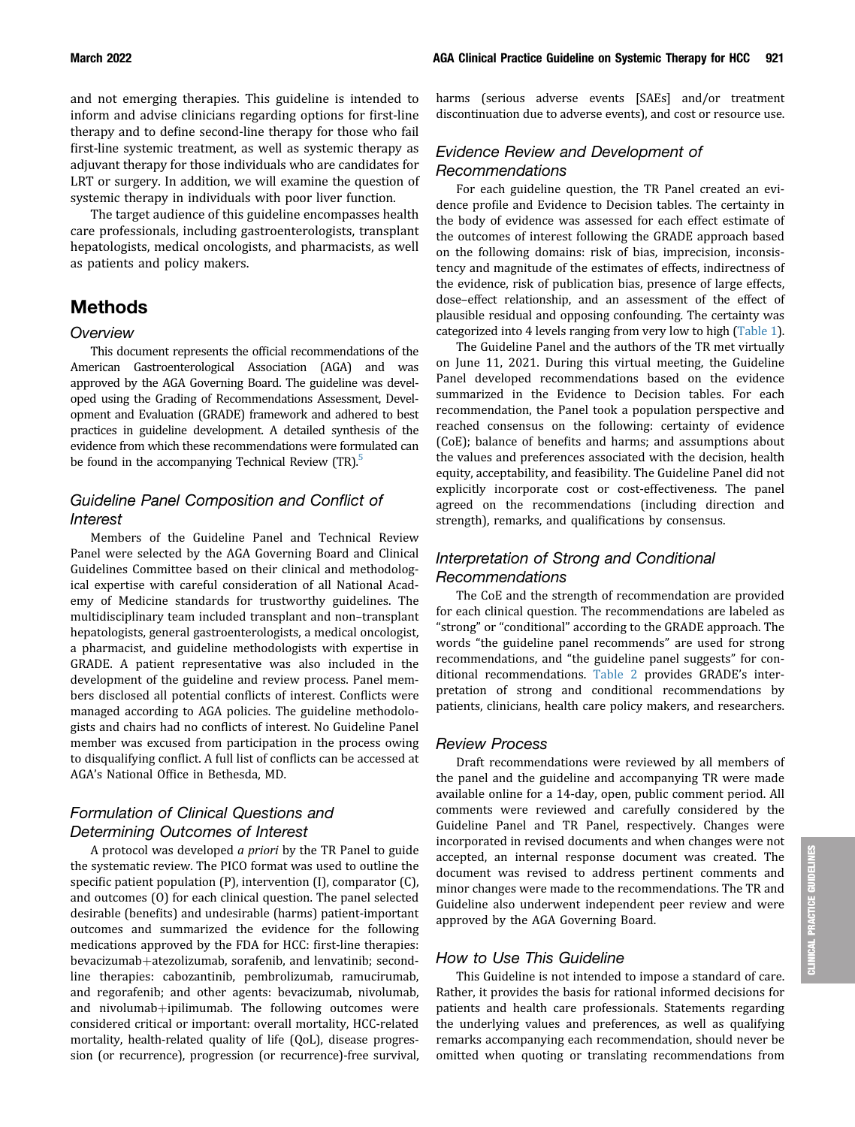and not emerging therapies. This guideline is intended to inform and advise clinicians regarding options for first-line therapy and to define second-line therapy for those who fail first-line systemic treatment, as well as systemic therapy as adjuvant therapy for those individuals who are candidates for LRT or surgery. In addition, we will examine the question of systemic therapy in individuals with poor liver function.

The target audience of this guideline encompasses health care professionals, including gastroenterologists, transplant hepatologists, medical oncologists, and pharmacists, as well as patients and policy makers.

# Methods

#### **Overview**

This document represents the official recommendations of the American Gastroenterological Association (AGA) and was approved by the AGA Governing Board. The guideline was developed using the Grading of Recommendations Assessment, Development and Evaluation (GRADE) framework and adhered to best practices in guideline development. A detailed synthesis of the evidence from which these recommendations were formulated can be found in the accompanying Technical Review (TR).<sup>5</sup>

## Guideline Panel Composition and Conflict of **Interest**

Members of the Guideline Panel and Technical Review Panel were selected by the AGA Governing Board and Clinical Guidelines Committee based on their clinical and methodological expertise with careful consideration of all National Academy of Medicine standards for trustworthy guidelines. The multidisciplinary team included transplant and non–transplant hepatologists, general gastroenterologists, a medical oncologist, a pharmacist, and guideline methodologists with expertise in GRADE. A patient representative was also included in the development of the guideline and review process. Panel members disclosed all potential conflicts of interest. Conflicts were managed according to AGA policies. The guideline methodologists and chairs had no conflicts of interest. No Guideline Panel member was excused from participation in the process owing to disqualifying conflict. A full list of conflicts can be accessed at AGA's National Office in Bethesda, MD.

## Formulation of Clinical Questions and Determining Outcomes of Interest

A protocol was developed a priori by the TR Panel to guide the systematic review. The PICO format was used to outline the specific patient population (P), intervention (I), comparator (C), and outcomes (O) for each clinical question. The panel selected desirable (benefits) and undesirable (harms) patient-important outcomes and summarized the evidence for the following medications approved by the FDA for HCC: first-line therapies: bevacizumab+atezolizumab, sorafenib, and lenvatinib; secondline therapies: cabozantinib, pembrolizumab, ramucirumab, and regorafenib; and other agents: bevacizumab, nivolumab, and nivolumab+ipilimumab. The following outcomes were considered critical or important: overall mortality, HCC-related mortality, health-related quality of life (QoL), disease progression (or recurrence), progression (or recurrence)-free survival,

harms (serious adverse events [SAEs] and/or treatment discontinuation due to adverse events), and cost or resource use.

#### Evidence Review and Development of Recommendations

For each guideline question, the TR Panel created an evidence profile and Evidence to Decision tables. The certainty in the body of evidence was assessed for each effect estimate of the outcomes of interest following the GRADE approach based on the following domains: risk of bias, imprecision, inconsistency and magnitude of the estimates of effects, indirectness of the evidence, risk of publication bias, presence of large effects, dose–effect relationship, and an assessment of the effect of plausible residual and opposing confounding. The certainty was categorized into 4 levels ranging from very low to high [\(Table 1](#page-2-0)).

The Guideline Panel and the authors of the TR met virtually on June 11, 2021. During this virtual meeting, the Guideline Panel developed recommendations based on the evidence summarized in the Evidence to Decision tables. For each recommendation, the Panel took a population perspective and reached consensus on the following: certainty of evidence (CoE); balance of benefits and harms; and assumptions about the values and preferences associated with the decision, health equity, acceptability, and feasibility. The Guideline Panel did not explicitly incorporate cost or cost-effectiveness. The panel agreed on the recommendations (including direction and strength), remarks, and qualifications by consensus.

## Interpretation of Strong and Conditional Recommendations

The CoE and the strength of recommendation are provided for each clinical question. The recommendations are labeled as "strong" or "conditional" according to the GRADE approach. The words "the guideline panel recommends" are used for strong recommendations, and "the guideline panel suggests" for conditional recommendations. [Table 2](#page-2-1) provides GRADE's interpretation of strong and conditional recommendations by patients, clinicians, health care policy makers, and researchers.

#### Review Process

Draft recommendations were reviewed by all members of the panel and the guideline and accompanying TR were made available online for a 14-day, open, public comment period. All comments were reviewed and carefully considered by the Guideline Panel and TR Panel, respectively. Changes were incorporated in revised documents and when changes were not accepted, an internal response document was created. The document was revised to address pertinent comments and minor changes were made to the recommendations. The TR and Guideline also underwent independent peer review and were approved by the AGA Governing Board.

#### How to Use This Guideline

This Guideline is not intended to impose a standard of care. Rather, it provides the basis for rational informed decisions for patients and health care professionals. Statements regarding the underlying values and preferences, as well as qualifying remarks accompanying each recommendation, should never be omitted when quoting or translating recommendations from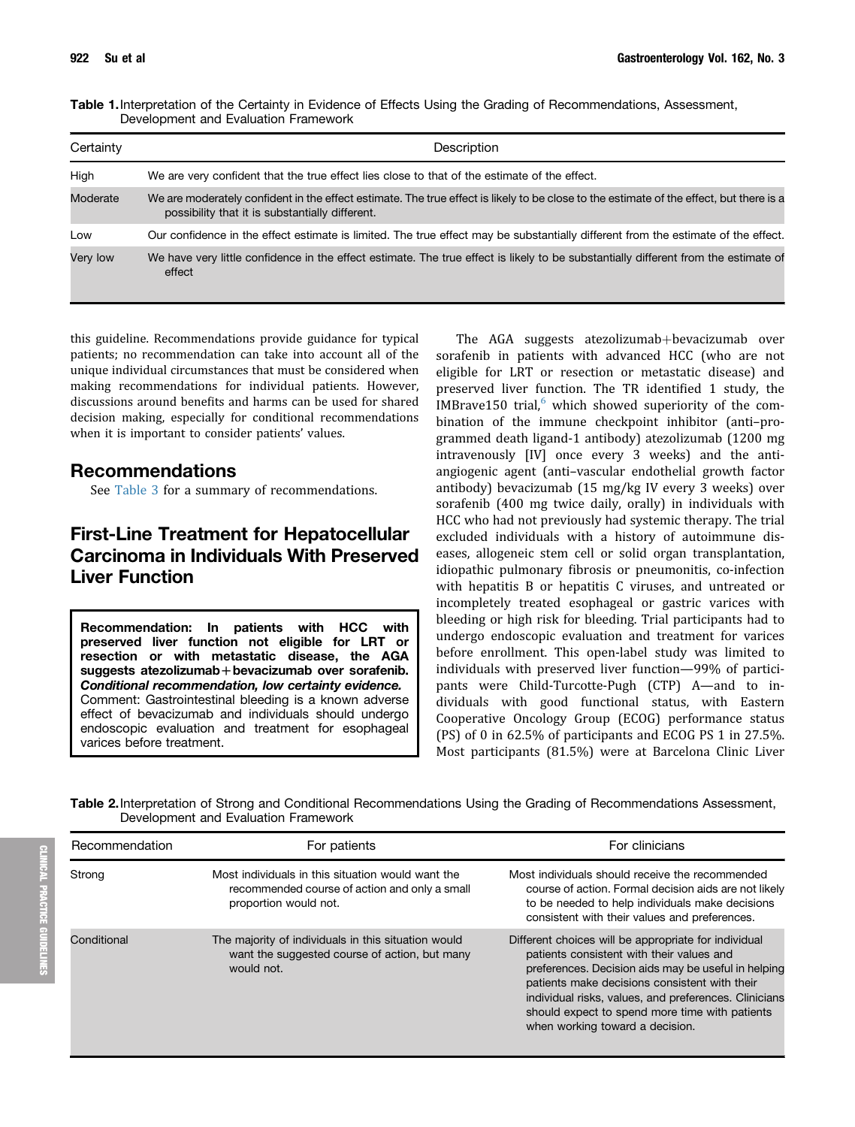<span id="page-2-0"></span>Table 1.Interpretation of the Certainty in Evidence of Effects Using the Grading of Recommendations, Assessment, Development and Evaluation Framework

| Certainty | Description                                                                                                                                                                                |
|-----------|--------------------------------------------------------------------------------------------------------------------------------------------------------------------------------------------|
| High      | We are very confident that the true effect lies close to that of the estimate of the effect.                                                                                               |
| Moderate  | We are moderately confident in the effect estimate. The true effect is likely to be close to the estimate of the effect, but there is a<br>possibility that it is substantially different. |
| Low       | Our confidence in the effect estimate is limited. The true effect may be substantially different from the estimate of the effect.                                                          |
| Very low  | We have very little confidence in the effect estimate. The true effect is likely to be substantially different from the estimate of<br>effect                                              |

this guideline. Recommendations provide guidance for typical patients; no recommendation can take into account all of the unique individual circumstances that must be considered when making recommendations for individual patients. However, discussions around benefits and harms can be used for shared decision making, especially for conditional recommendations when it is important to consider patients' values.

## Recommendations

See [Table 3](#page-3-0) for a summary of recommendations.

# First-Line Treatment for Hepatocellular Carcinoma in Individuals With Preserved Liver Function

Recommendation: In patients with HCC with preserved liver function not eligible for LRT or resection or with metastatic disease, the AGA suggests atezolizumab + bevacizumab over sorafenib. Conditional recommendation, low certainty evidence. Comment: Gastrointestinal bleeding is a known adverse effect of bevacizumab and individuals should undergo endoscopic evaluation and treatment for esophageal varices before treatment.

The AGA suggests atezolizumab+bevacizumab over sorafenib in patients with advanced HCC (who are not eligible for LRT or resection or metastatic disease) and preserved liver function. The TR identified 1 study, the IMBrave150 trial, $6$  which showed superiority of the combination of the immune checkpoint inhibitor (anti–programmed death ligand-1 antibody) atezolizumab (1200 mg intravenously [IV] once every 3 weeks) and the antiangiogenic agent (anti–vascular endothelial growth factor antibody) bevacizumab (15 mg/kg IV every 3 weeks) over sorafenib (400 mg twice daily, orally) in individuals with HCC who had not previously had systemic therapy. The trial excluded individuals with a history of autoimmune diseases, allogeneic stem cell or solid organ transplantation, idiopathic pulmonary fibrosis or pneumonitis, co-infection with hepatitis B or hepatitis C viruses, and untreated or incompletely treated esophageal or gastric varices with bleeding or high risk for bleeding. Trial participants had to undergo endoscopic evaluation and treatment for varices before enrollment. This open-label study was limited to individuals with preserved liver function—99% of participants were Child-Turcotte-Pugh (CTP) A—and to individuals with good functional status, with Eastern Cooperative Oncology Group (ECOG) performance status (PS) of 0 in 62.5% of participants and ECOG PS 1 in 27.5%. Most participants (81.5%) were at Barcelona Clinic Liver

<span id="page-2-1"></span>Table 2. Interpretation of Strong and Conditional Recommendations Using the Grading of Recommendations Assessment, Development and Evaluation Framework

| Recommendation | For patients                                                                                                                | For clinicians                                                                                                                                                                                                                                                                                                                                          |  |  |
|----------------|-----------------------------------------------------------------------------------------------------------------------------|---------------------------------------------------------------------------------------------------------------------------------------------------------------------------------------------------------------------------------------------------------------------------------------------------------------------------------------------------------|--|--|
| Strong         | Most individuals in this situation would want the<br>recommended course of action and only a small<br>proportion would not. | Most individuals should receive the recommended<br>course of action. Formal decision aids are not likely<br>to be needed to help individuals make decisions<br>consistent with their values and preferences.                                                                                                                                            |  |  |
| Conditional    | The majority of individuals in this situation would<br>want the suggested course of action, but many<br>would not.          | Different choices will be appropriate for individual<br>patients consistent with their values and<br>preferences. Decision aids may be useful in helping<br>patients make decisions consistent with their<br>individual risks, values, and preferences. Clinicians<br>should expect to spend more time with patients<br>when working toward a decision. |  |  |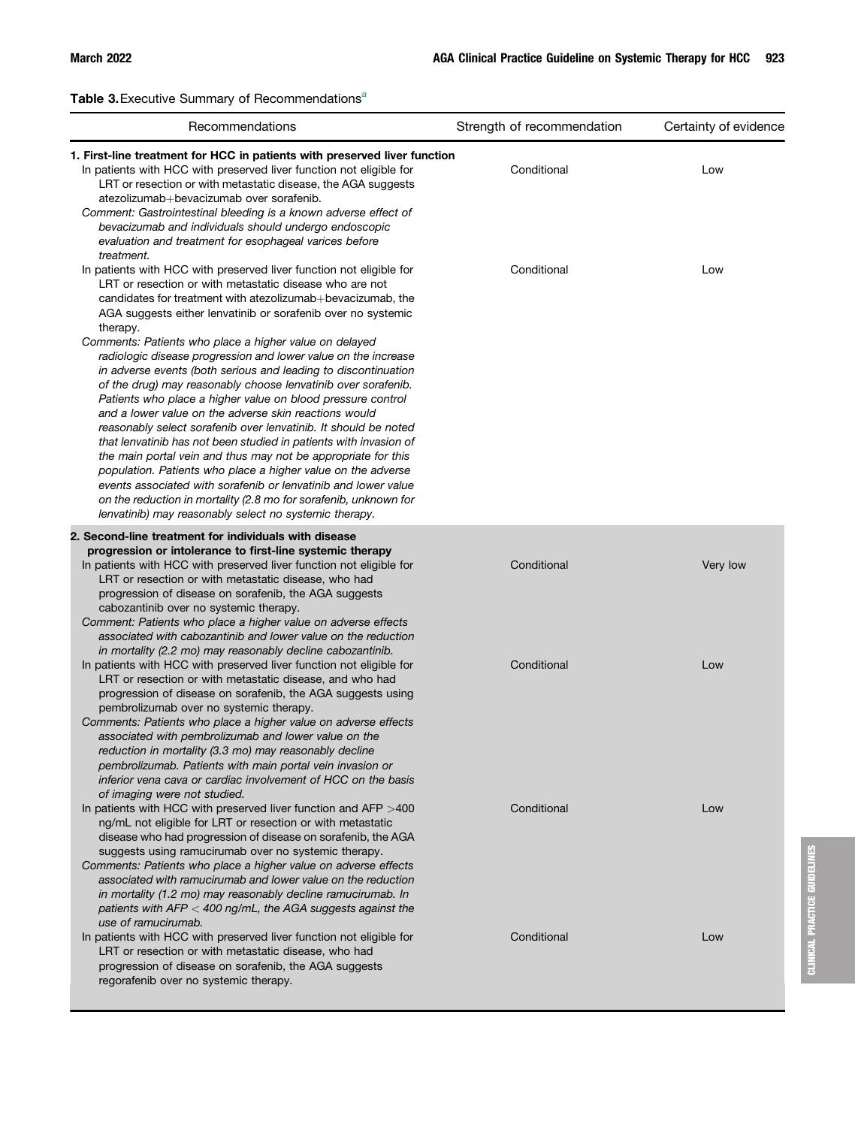<span id="page-3-0"></span>T[a](#page-4-0)ble 3. Executive Summary of Recommendations<sup>a</sup>

| Recommendations                                                                                                                                                                                                                                                                                                                                                                                                                                                                                                                                                                                                                                                                                                                                                                                                                                                                                                                                                                                                                                                                                                                                         | Strength of recommendation | Certainty of evidence |
|---------------------------------------------------------------------------------------------------------------------------------------------------------------------------------------------------------------------------------------------------------------------------------------------------------------------------------------------------------------------------------------------------------------------------------------------------------------------------------------------------------------------------------------------------------------------------------------------------------------------------------------------------------------------------------------------------------------------------------------------------------------------------------------------------------------------------------------------------------------------------------------------------------------------------------------------------------------------------------------------------------------------------------------------------------------------------------------------------------------------------------------------------------|----------------------------|-----------------------|
| 1. First-line treatment for HCC in patients with preserved liver function<br>In patients with HCC with preserved liver function not eligible for<br>LRT or resection or with metastatic disease, the AGA suggests<br>atezolizumab+bevacizumab over sorafenib.<br>Comment: Gastrointestinal bleeding is a known adverse effect of<br>bevacizumab and individuals should undergo endoscopic<br>evaluation and treatment for esophageal varices before                                                                                                                                                                                                                                                                                                                                                                                                                                                                                                                                                                                                                                                                                                     | Conditional                | Low                   |
| treatment.<br>In patients with HCC with preserved liver function not eligible for<br>LRT or resection or with metastatic disease who are not<br>candidates for treatment with atezolizumab+bevacizumab, the<br>AGA suggests either lenvatinib or sorafenib over no systemic<br>therapy.<br>Comments: Patients who place a higher value on delayed<br>radiologic disease progression and lower value on the increase<br>in adverse events (both serious and leading to discontinuation<br>of the drug) may reasonably choose lenvatinib over sorafenib.<br>Patients who place a higher value on blood pressure control<br>and a lower value on the adverse skin reactions would<br>reasonably select sorafenib over lenvatinib. It should be noted<br>that lenvatinib has not been studied in patients with invasion of<br>the main portal vein and thus may not be appropriate for this<br>population. Patients who place a higher value on the adverse<br>events associated with sorafenib or lenvatinib and lower value<br>on the reduction in mortality (2.8 mo for sorafenib, unknown for<br>lenvatinib) may reasonably select no systemic therapy. | Conditional                | Low                   |
| 2. Second-line treatment for individuals with disease<br>progression or intolerance to first-line systemic therapy                                                                                                                                                                                                                                                                                                                                                                                                                                                                                                                                                                                                                                                                                                                                                                                                                                                                                                                                                                                                                                      |                            |                       |
| In patients with HCC with preserved liver function not eligible for<br>LRT or resection or with metastatic disease, who had<br>progression of disease on sorafenib, the AGA suggests<br>cabozantinib over no systemic therapy.<br>Comment: Patients who place a higher value on adverse effects<br>associated with cabozantinib and lower value on the reduction<br>in mortality (2.2 mo) may reasonably decline cabozantinib.                                                                                                                                                                                                                                                                                                                                                                                                                                                                                                                                                                                                                                                                                                                          | Conditional                | Very low              |
| In patients with HCC with preserved liver function not eligible for<br>LRT or resection or with metastatic disease, and who had<br>progression of disease on sorafenib, the AGA suggests using<br>pembrolizumab over no systemic therapy.<br>Comments: Patients who place a higher value on adverse effects<br>associated with pembrolizumab and lower value on the<br>reduction in mortality (3.3 mo) may reasonably decline<br>pembrolizumab. Patients with main portal vein invasion or<br>inferior vena cava or cardiac involvement of HCC on the basis<br>of imaging were not studied.                                                                                                                                                                                                                                                                                                                                                                                                                                                                                                                                                             | Conditional                | Low                   |
| In patients with HCC with preserved liver function and AFP $>400$<br>ng/mL not eligible for LRT or resection or with metastatic<br>disease who had progression of disease on sorafenib, the AGA<br>suggests using ramucirumab over no systemic therapy.<br>Comments: Patients who place a higher value on adverse effects<br>associated with ramucirumab and lower value on the reduction<br>in mortality (1.2 mo) may reasonably decline ramucirumab. In<br>patients with $AFP < 400$ ng/mL, the AGA suggests against the<br>use of ramucirumab.                                                                                                                                                                                                                                                                                                                                                                                                                                                                                                                                                                                                       | Conditional                | Low                   |
| In patients with HCC with preserved liver function not eligible for<br>LRT or resection or with metastatic disease, who had<br>progression of disease on sorafenib, the AGA suggests<br>regorafenib over no systemic therapy.                                                                                                                                                                                                                                                                                                                                                                                                                                                                                                                                                                                                                                                                                                                                                                                                                                                                                                                           | Conditional                | Low                   |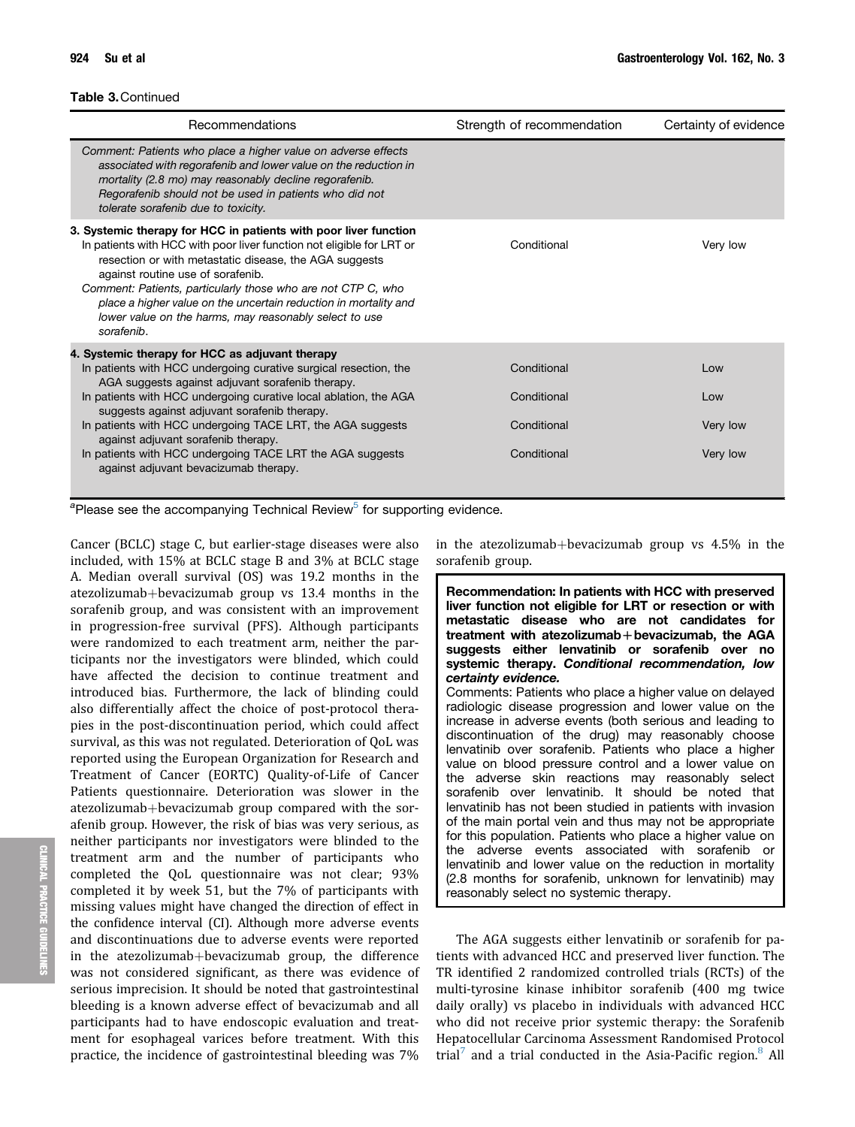| Recommendations                                                                                                                                                                                                                                                                                                                                                                                                                                                                                        | Strength of recommendation                               | Certainty of evidence              |
|--------------------------------------------------------------------------------------------------------------------------------------------------------------------------------------------------------------------------------------------------------------------------------------------------------------------------------------------------------------------------------------------------------------------------------------------------------------------------------------------------------|----------------------------------------------------------|------------------------------------|
| Comment: Patients who place a higher value on adverse effects<br>associated with regorafenib and lower value on the reduction in<br>mortality (2.8 mo) may reasonably decline regorafenib.<br>Regorafenib should not be used in patients who did not<br>tolerate sorafenib due to toxicity.                                                                                                                                                                                                            |                                                          |                                    |
| 3. Systemic therapy for HCC in patients with poor liver function<br>In patients with HCC with poor liver function not eligible for LRT or<br>resection or with metastatic disease, the AGA suggests<br>against routine use of sorafenib.<br>Comment: Patients, particularly those who are not CTP C, who<br>place a higher value on the uncertain reduction in mortality and<br>lower value on the harms, may reasonably select to use<br>sorafenib.                                                   | Conditional                                              | Very low                           |
| 4. Systemic therapy for HCC as adjuvant therapy<br>In patients with HCC undergoing curative surgical resection, the<br>AGA suggests against adjuvant sorafenib therapy.<br>In patients with HCC undergoing curative local ablation, the AGA<br>suggests against adjuvant sorafenib therapy.<br>In patients with HCC undergoing TACE LRT, the AGA suggests<br>against adjuvant sorafenib therapy.<br>In patients with HCC undergoing TACE LRT the AGA suggests<br>against adjuvant bevacizumab therapy. | Conditional<br>Conditional<br>Conditional<br>Conditional | Low<br>Low<br>Very low<br>Very low |

<span id="page-4-0"></span><sup>a</sup>Please see the accompanying Technical Review<sup>5</sup> for supporting evidence.

Cancer (BCLC) stage C, but earlier-stage diseases were also included, with 15% at BCLC stage B and 3% at BCLC stage A. Median overall survival (OS) was 19.2 months in the atezolizumab+bevacizumab group vs  $13.4$  months in the sorafenib group, and was consistent with an improvement in progression-free survival (PFS). Although participants were randomized to each treatment arm, neither the participants nor the investigators were blinded, which could have affected the decision to continue treatment and introduced bias. Furthermore, the lack of blinding could also differentially affect the choice of post-protocol therapies in the post-discontinuation period, which could affect survival, as this was not regulated. Deterioration of QoL was reported using the European Organization for Research and Treatment of Cancer (EORTC) Quality-of-Life of Cancer Patients questionnaire. Deterioration was slower in the atezolizumab+bevacizumab group compared with the sorafenib group. However, the risk of bias was very serious, as neither participants nor investigators were blinded to the treatment arm and the number of participants who completed the QoL questionnaire was not clear; 93% completed it by week 51, but the 7% of participants with missing values might have changed the direction of effect in the confidence interval (CI). Although more adverse events and discontinuations due to adverse events were reported in the atezolizumab+bevacizumab group, the difference was not considered significant, as there was evidence of serious imprecision. It should be noted that gastrointestinal bleeding is a known adverse effect of bevacizumab and all participants had to have endoscopic evaluation and treatment for esophageal varices before treatment. With this practice, the incidence of gastrointestinal bleeding was 7%

in the atezolizumab+bevacizumab group vs  $4.5\%$  in the sorafenib group.

Recommendation: In patients with HCC with preserved liver function not eligible for LRT or resection or with metastatic disease who are not candidates for treatment with atezolizumab+bevacizumab, the AGA suggests either lenvatinib or sorafenib over no systemic therapy. Conditional recommendation, low certainty evidence. Comments: Patients who place a higher value on delayed

radiologic disease progression and lower value on the increase in adverse events (both serious and leading to discontinuation of the drug) may reasonably choose lenvatinib over sorafenib. Patients who place a higher value on blood pressure control and a lower value on the adverse skin reactions may reasonably select sorafenib over lenvatinib. It should be noted that lenvatinib has not been studied in patients with invasion of the main portal vein and thus may not be appropriate for this population. Patients who place a higher value on the adverse events associated with sorafenib or lenvatinib and lower value on the reduction in mortality (2.8 months for sorafenib, unknown for lenvatinib) may reasonably select no systemic therapy.

The AGA suggests either lenvatinib or sorafenib for patients with advanced HCC and preserved liver function. The TR identified 2 randomized controlled trials (RCTs) of the multi-tyrosine kinase inhibitor sorafenib (400 mg twice daily orally) vs placebo in individuals with advanced HCC who did not receive prior systemic therapy: the Sorafenib Hepatocellular Carcinoma Assessment Randomised Protocol trial<sup>[7](#page-13-6)</sup> and a trial conducted in the Asia-Pacific region.<sup>[8](#page-13-7)</sup> All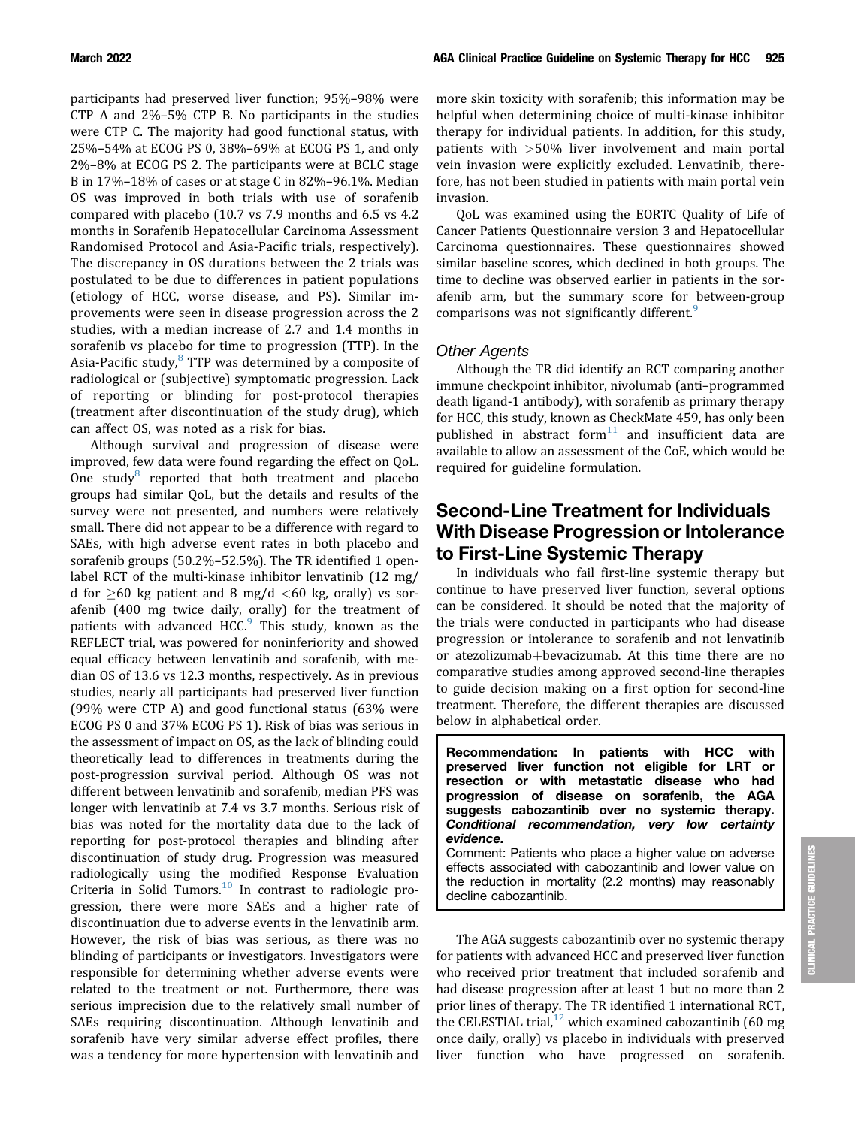participants had preserved liver function; 95%–98% were CTP A and 2%–5% CTP B. No participants in the studies were CTP C. The majority had good functional status, with 25%–54% at ECOG PS 0, 38%–69% at ECOG PS 1, and only 2%–8% at ECOG PS 2. The participants were at BCLC stage B in 17%–18% of cases or at stage C in 82%–96.1%. Median OS was improved in both trials with use of sorafenib compared with placebo (10.7 vs 7.9 months and 6.5 vs 4.2 months in Sorafenib Hepatocellular Carcinoma Assessment Randomised Protocol and Asia-Pacific trials, respectively). The discrepancy in OS durations between the 2 trials was postulated to be due to differences in patient populations (etiology of HCC, worse disease, and PS). Similar improvements were seen in disease progression across the 2 studies, with a median increase of 2.7 and 1.4 months in sorafenib vs placebo for time to progression (TTP). In the Asia-Pacific study,<sup>[8](#page-13-7)</sup> TTP was determined by a composite of radiological or (subjective) symptomatic progression. Lack of reporting or blinding for post-protocol therapies (treatment after discontinuation of the study drug), which can affect OS, was noted as a risk for bias.

Although survival and progression of disease were improved, few data were found regarding the effect on QoL. One study<sup>8</sup> reported that both treatment and placebo groups had similar QoL, but the details and results of the survey were not presented, and numbers were relatively small. There did not appear to be a difference with regard to SAEs, with high adverse event rates in both placebo and sorafenib groups (50.2%–52.5%). The TR identified 1 openlabel RCT of the multi-kinase inhibitor lenvatinib (12 mg/ d for  $\geq$ 60 kg patient and 8 mg/d  $<$ 60 kg, orally) vs sorafenib (400 mg twice daily, orally) for the treatment of patients with advanced HCC. $9$  This study, known as the REFLECT trial, was powered for noninferiority and showed equal efficacy between lenvatinib and sorafenib, with median OS of 13.6 vs 12.3 months, respectively. As in previous studies, nearly all participants had preserved liver function (99% were CTP A) and good functional status (63% were ECOG PS 0 and 37% ECOG PS 1). Risk of bias was serious in the assessment of impact on OS, as the lack of blinding could theoretically lead to differences in treatments during the post-progression survival period. Although OS was not different between lenvatinib and sorafenib, median PFS was longer with lenvatinib at 7.4 vs 3.7 months. Serious risk of bias was noted for the mortality data due to the lack of reporting for post-protocol therapies and blinding after discontinuation of study drug. Progression was measured radiologically using the modified Response Evaluation Criteria in Solid Tumors. $10$  In contrast to radiologic progression, there were more SAEs and a higher rate of discontinuation due to adverse events in the lenvatinib arm. However, the risk of bias was serious, as there was no blinding of participants or investigators. Investigators were responsible for determining whether adverse events were related to the treatment or not. Furthermore, there was serious imprecision due to the relatively small number of SAEs requiring discontinuation. Although lenvatinib and sorafenib have very similar adverse effect profiles, there was a tendency for more hypertension with lenvatinib and more skin toxicity with sorafenib; this information may be helpful when determining choice of multi-kinase inhibitor therapy for individual patients. In addition, for this study, patients with >50% liver involvement and main portal vein invasion were explicitly excluded. Lenvatinib, therefore, has not been studied in patients with main portal vein invasion.

QoL was examined using the EORTC Quality of Life of Cancer Patients Questionnaire version 3 and Hepatocellular Carcinoma questionnaires. These questionnaires showed similar baseline scores, which declined in both groups. The time to decline was observed earlier in patients in the sorafenib arm, but the summary score for between-group comparisons was not significantly different.<sup>[9](#page-13-8)</sup>

#### Other Agents

Although the TR did identify an RCT comparing another immune checkpoint inhibitor, nivolumab (anti–programmed death ligand-1 antibody), with sorafenib as primary therapy for HCC, this study, known as CheckMate 459, has only been published in abstract form $11$  and insufficient data are available to allow an assessment of the CoE, which would be required for guideline formulation.

## Second-Line Treatment for Individuals With Disease Progression or Intolerance to First-Line Systemic Therapy

In individuals who fail first-line systemic therapy but continue to have preserved liver function, several options can be considered. It should be noted that the majority of the trials were conducted in participants who had disease progression or intolerance to sorafenib and not lenvatinib or atezolizumab+bevacizumab. At this time there are no comparative studies among approved second-line therapies to guide decision making on a first option for second-line treatment. Therefore, the different therapies are discussed below in alphabetical order.

Recommendation: In patients with HCC with preserved liver function not eligible for LRT or resection or with metastatic disease who had progression of disease on sorafenib, the AGA suggests cabozantinib over no systemic therapy. Conditional recommendation, very low certainty evidence.

Comment: Patients who place a higher value on adverse effects associated with cabozantinib and lower value on the reduction in mortality (2.2 months) may reasonably decline cabozantinib.

The AGA suggests cabozantinib over no systemic therapy for patients with advanced HCC and preserved liver function who received prior treatment that included sorafenib and had disease progression after at least 1 but no more than 2 prior lines of therapy. The TR identified 1 international RCT, the CELESTIAL trial,<sup>[12](#page-13-11)</sup> which examined cabozantinib (60 mg once daily, orally) vs placebo in individuals with preserved liver function who have progressed on sorafenib.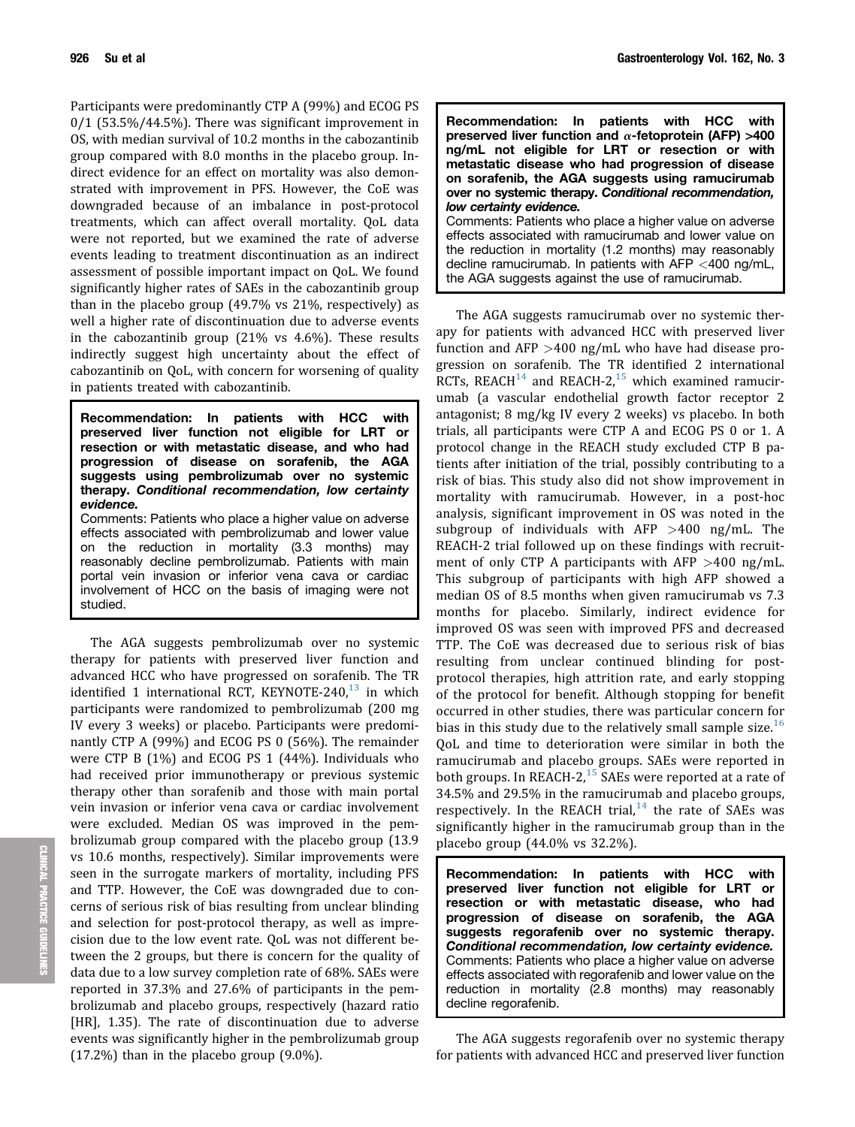Participants were predominantly CTP A (99%) and ECOG PS 0/1 (53.5%/44.5%). There was significant improvement in OS, with median survival of 10.2 months in the cabozantinib group compared with 8.0 months in the placebo group. Indirect evidence for an effect on mortality was also demonstrated with improvement in PFS. However, the CoE was downgraded because of an imbalance in post-protocol treatments, which can affect overall mortality. QoL data were not reported, but we examined the rate of adverse events leading to treatment discontinuation as an indirect assessment of possible important impact on QoL. We found significantly higher rates of SAEs in the cabozantinib group than in the placebo group (49.7% vs 21%, respectively) as well a higher rate of discontinuation due to adverse events in the cabozantinib group (21% vs 4.6%). These results indirectly suggest high uncertainty about the effect of cabozantinib on QoL, with concern for worsening of quality in patients treated with cabozantinib.

Recommendation: In patients with HCC with preserved liver function not eligible for LRT or resection or with metastatic disease, and who had progression of disease on sorafenib, the AGA suggests using pembrolizumab over no systemic therapy. Conditional recommendation, low certainty evidence.

Comments: Patients who place a higher value on adverse effects associated with pembrolizumab and lower value on the reduction in mortality (3.3 months) may reasonably decline pembrolizumab. Patients with main portal vein invasion or inferior vena cava or cardiac involvement of HCC on the basis of imaging were not studied.

The AGA suggests pembrolizumab over no systemic therapy for patients with preserved liver function and advanced HCC who have progressed on sorafenib. The TR identified 1 international RCT, KEYNOTE-240, $13$  in which participants were randomized to pembrolizumab (200 mg IV every 3 weeks) or placebo. Participants were predominantly CTP A (99%) and ECOG PS 0 (56%). The remainder were CTP B (1%) and ECOG PS 1 (44%). Individuals who had received prior immunotherapy or previous systemic therapy other than sorafenib and those with main portal vein invasion or inferior vena cava or cardiac involvement were excluded. Median OS was improved in the pembrolizumab group compared with the placebo group (13.9 vs 10.6 months, respectively). Similar improvements were seen in the surrogate markers of mortality, including PFS and TTP. However, the CoE was downgraded due to concerns of serious risk of bias resulting from unclear blinding and selection for post-protocol therapy, as well as imprecision due to the low event rate. QoL was not different between the 2 groups, but there is concern for the quality of data due to a low survey completion rate of 68%. SAEs were reported in 37.3% and 27.6% of participants in the pembrolizumab and placebo groups, respectively (hazard ratio [HR], 1.35). The rate of discontinuation due to adverse events was significantly higher in the pembrolizumab group (17.2%) than in the placebo group (9.0%).

| Recommendation: In patients with HCC with<br>preserved liver function and $\alpha$ -fetoprotein (AFP) >400<br>ng/mL not eligible for LRT or resection or with<br>metastatic disease who had progression of disease<br>on sorafenib, the AGA suggests using ramucirumab<br>over no systemic therapy. Conditional recommendation, |
|---------------------------------------------------------------------------------------------------------------------------------------------------------------------------------------------------------------------------------------------------------------------------------------------------------------------------------|
| low certainty evidence.                                                                                                                                                                                                                                                                                                         |
| Comments: Patients who place a higher value on adverse                                                                                                                                                                                                                                                                          |
| effects associated with ramucirumab and lower value on                                                                                                                                                                                                                                                                          |
| the reduction in mortality (1.2 months) may reasonably<br>decline ramucirumab. In patients with AFP $<$ 400 ng/mL,<br>the AGA suggests against the use of ramucirumab.                                                                                                                                                          |

The AGA suggests ramucirumab over no systemic therapy for patients with advanced HCC with preserved liver function and AFP >400 ng/mL who have had disease progression on sorafenib. The TR identified 2 international RCTs, REACH $^{14}$  and REACH-2,<sup>[15](#page-13-14)</sup> which examined ramucirumab (a vascular endothelial growth factor receptor 2 antagonist; 8 mg/kg IV every 2 weeks) vs placebo. In both trials, all participants were CTP A and ECOG PS 0 or 1. A protocol change in the REACH study excluded CTP B patients after initiation of the trial, possibly contributing to a risk of bias. This study also did not show improvement in mortality with ramucirumab. However, in a post-hoc analysis, significant improvement in OS was noted in the subgroup of individuals with AFP  $>400$  ng/mL. The REACH-2 trial followed up on these findings with recruitment of only CTP A participants with AFP  $>400$  ng/mL. This subgroup of participants with high AFP showed a median OS of 8.5 months when given ramucirumab vs 7.3 months for placebo. Similarly, indirect evidence for improved OS was seen with improved PFS and decreased TTP. The CoE was decreased due to serious risk of bias resulting from unclear continued blinding for postprotocol therapies, high attrition rate, and early stopping of the protocol for benefit. Although stopping for benefit occurred in other studies, there was particular concern for bias in this study due to the relatively small sample size.<sup>[16](#page-13-15)</sup> QoL and time to deterioration were similar in both the ramucirumab and placebo groups. SAEs were reported in both groups. In REACH-2,<sup>[15](#page-13-14)</sup> SAEs were reported at a rate of 34.5% and 29.5% in the ramucirumab and placebo groups, respectively. In the REACH trial, $14$  the rate of SAEs was significantly higher in the ramucirumab group than in the placebo group (44.0% vs 32.2%).

Recommendation: In patients with HCC with preserved liver function not eligible for LRT or resection or with metastatic disease, who had progression of disease on sorafenib, the AGA suggests regorafenib over no systemic therapy. Conditional recommendation, low certainty evidence. Comments: Patients who place a higher value on adverse effects associated with regorafenib and lower value on the reduction in mortality (2.8 months) may reasonably decline regorafenib.

The AGA suggests regorafenib over no systemic therapy for patients with advanced HCC and preserved liver function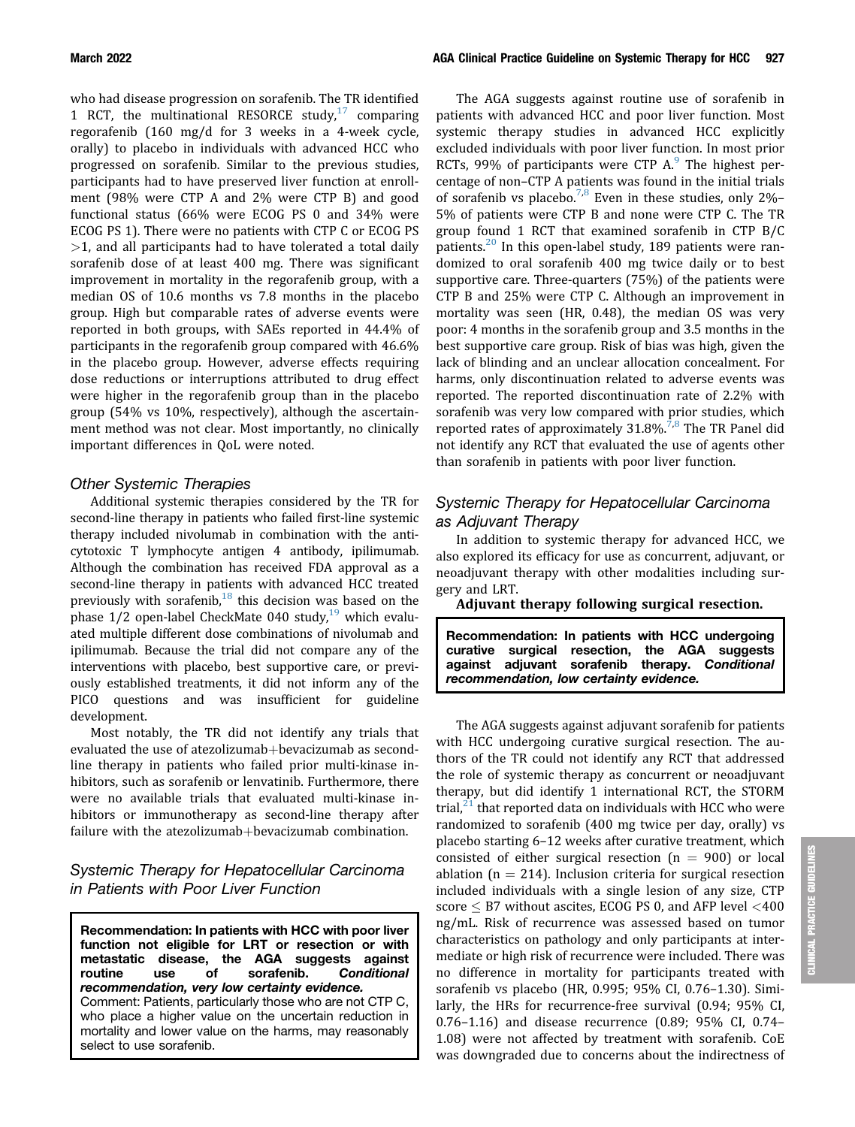who had disease progression on sorafenib. The TR identified 1 RCT, the multinational RESORCE study, $17$  comparing regorafenib (160 mg/d for 3 weeks in a 4-week cycle, orally) to placebo in individuals with advanced HCC who progressed on sorafenib. Similar to the previous studies, participants had to have preserved liver function at enrollment (98% were CTP A and 2% were CTP B) and good functional status (66% were ECOG PS 0 and 34% were ECOG PS 1). There were no patients with CTP C or ECOG PS  $>1$ , and all participants had to have tolerated a total daily sorafenib dose of at least 400 mg. There was significant improvement in mortality in the regorafenib group, with a median OS of 10.6 months vs 7.8 months in the placebo group. High but comparable rates of adverse events were reported in both groups, with SAEs reported in 44.4% of participants in the regorafenib group compared with 46.6% in the placebo group. However, adverse effects requiring dose reductions or interruptions attributed to drug effect were higher in the regorafenib group than in the placebo group (54% vs 10%, respectively), although the ascertainment method was not clear. Most importantly, no clinically important differences in QoL were noted.

#### Other Systemic Therapies

Additional systemic therapies considered by the TR for second-line therapy in patients who failed first-line systemic therapy included nivolumab in combination with the anticytotoxic T lymphocyte antigen 4 antibody, ipilimumab. Although the combination has received FDA approval as a second-line therapy in patients with advanced HCC treated previously with sorafenib, $18$  this decision was based on the phase  $1/2$  open-label CheckMate 040 study,<sup>19</sup> which evaluated multiple different dose combinations of nivolumab and ipilimumab. Because the trial did not compare any of the interventions with placebo, best supportive care, or previously established treatments, it did not inform any of the PICO questions and was insufficient for guideline development.

Most notably, the TR did not identify any trials that evaluated the use of atezolizumab+bevacizumab as secondline therapy in patients who failed prior multi-kinase inhibitors, such as sorafenib or lenvatinib. Furthermore, there were no available trials that evaluated multi-kinase inhibitors or immunotherapy as second-line therapy after failure with the atezolizumab+bevacizumab combination.

#### Systemic Therapy for Hepatocellular Carcinoma in Patients with Poor Liver Function

Recommendation: In patients with HCC with poor liver function not eligible for LRT or resection or with<br>metastatic disease, the AGA suggests against e, the AGA suggests against<br>of sorafenib. Conditional routine use of sorafenib. Conditional recommendation, very low certainty evidence. Comment: Patients, particularly those who are not CTP C, who place a higher value on the uncertain reduction in mortality and lower value on the harms, may reasonably select to use sorafenib.

The AGA suggests against routine use of sorafenib in patients with advanced HCC and poor liver function. Most systemic therapy studies in advanced HCC explicitly excluded individuals with poor liver function. In most prior RCTs, [9](#page-13-8)9% of participants were CTP  $A$ <sup>9</sup>. The highest percentage of non–CTP A patients was found in the initial trials of sorafenib vs placebo.<sup>[7](#page-13-6)[,8](#page-13-7)</sup> Even in these studies, only 2%– 5% of patients were CTP B and none were CTP C. The TR group found 1 RCT that examined sorafenib in CTP B/C patients.<sup>[20](#page-14-3)</sup> In this open-label study, 189 patients were randomized to oral sorafenib 400 mg twice daily or to best supportive care. Three-quarters (75%) of the patients were CTP B and 25% were CTP C. Although an improvement in mortality was seen (HR, 0.48), the median OS was very poor: 4 months in the sorafenib group and 3.5 months in the best supportive care group. Risk of bias was high, given the lack of blinding and an unclear allocation concealment. For harms, only discontinuation related to adverse events was reported. The reported discontinuation rate of 2.2% with sorafenib was very low compared with prior studies, which reported rates of approximately  $31.8\%$ .<sup>[7](#page-13-6)[,8](#page-13-7)</sup> The TR Panel did not identify any RCT that evaluated the use of agents other than sorafenib in patients with poor liver function.

#### Systemic Therapy for Hepatocellular Carcinoma as Adjuvant Therapy

In addition to systemic therapy for advanced HCC, we also explored its efficacy for use as concurrent, adjuvant, or neoadjuvant therapy with other modalities including surgery and LRT.

Adjuvant therapy following surgical resection.

Recommendation: In patients with HCC undergoing curative surgical resection, the AGA suggests against adjuvant sorafenib therapy. Conditional recommendation, low certainty evidence.

The AGA suggests against adjuvant sorafenib for patients with HCC undergoing curative surgical resection. The authors of the TR could not identify any RCT that addressed the role of systemic therapy as concurrent or neoadjuvant therapy, but did identify 1 international RCT, the STORM trial, $^{21}$  $^{21}$  $^{21}$  that reported data on individuals with HCC who were randomized to sorafenib (400 mg twice per day, orally) vs placebo starting 6–12 weeks after curative treatment, which consisted of either surgical resection  $(n = 900)$  or local ablation ( $n = 214$ ). Inclusion criteria for surgical resection included individuals with a single lesion of any size, CTP score  $\leq$  B7 without ascites, ECOG PS 0, and AFP level  $<$ 400 ng/mL. Risk of recurrence was assessed based on tumor characteristics on pathology and only participants at intermediate or high risk of recurrence were included. There was no difference in mortality for participants treated with sorafenib vs placebo (HR, 0.995; 95% CI, 0.76–1.30). Similarly, the HRs for recurrence-free survival (0.94; 95% CI, 0.76–1.16) and disease recurrence (0.89; 95% CI, 0.74– 1.08) were not affected by treatment with sorafenib. CoE was downgraded due to concerns about the indirectness of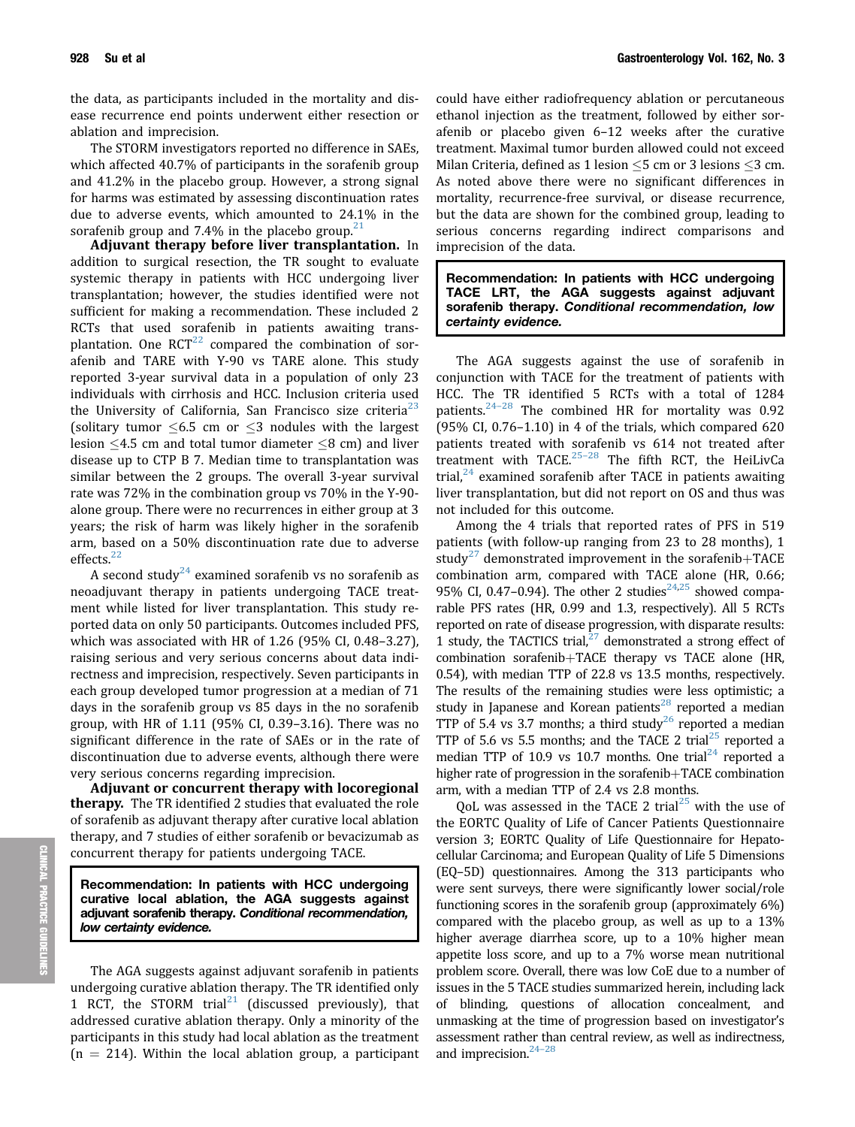the data, as participants included in the mortality and disease recurrence end points underwent either resection or ablation and imprecision.

The STORM investigators reported no difference in SAEs, which affected 40.7% of participants in the sorafenib group and 41.2% in the placebo group. However, a strong signal for harms was estimated by assessing discontinuation rates due to adverse events, which amounted to 24.1% in the sorafenib group and 7.4% in the placebo group. $21$ 

Adjuvant therapy before liver transplantation. In addition to surgical resection, the TR sought to evaluate systemic therapy in patients with HCC undergoing liver transplantation; however, the studies identified were not sufficient for making a recommendation. These included 2 RCTs that used sorafenib in patients awaiting transplantation. One  $RCT^{22}$  $RCT^{22}$  $RCT^{22}$  compared the combination of sorafenib and TARE with Y-90 vs TARE alone. This study reported 3-year survival data in a population of only 23 individuals with cirrhosis and HCC. Inclusion criteria used the University of California, San Francisco size criteria<sup>23</sup> (solitary tumor  $\leq 6.5$  cm or  $\leq 3$  nodules with the largest lesion  $\leq$ 4.5 cm and total tumor diameter  $\leq$ 8 cm) and liver disease up to CTP B 7. Median time to transplantation was similar between the 2 groups. The overall 3-year survival rate was 72% in the combination group vs 70% in the Y-90 alone group. There were no recurrences in either group at 3 years; the risk of harm was likely higher in the sorafenib arm, based on a 50% discontinuation rate due to adverse effects.<sup>[22](#page-14-5)</sup>

A second study<sup>[24](#page-14-7)</sup> examined sorafenib vs no sorafenib as neoadjuvant therapy in patients undergoing TACE treatment while listed for liver transplantation. This study reported data on only 50 participants. Outcomes included PFS, which was associated with HR of 1.26 (95% CI, 0.48–3.27), raising serious and very serious concerns about data indirectness and imprecision, respectively. Seven participants in each group developed tumor progression at a median of 71 days in the sorafenib group vs 85 days in the no sorafenib group, with HR of 1.11 (95% CI, 0.39–3.16). There was no significant difference in the rate of SAEs or in the rate of discontinuation due to adverse events, although there were very serious concerns regarding imprecision.

Adjuvant or concurrent therapy with locoregional **therapy.** The TR identified 2 studies that evaluated the role of sorafenib as adjuvant therapy after curative local ablation therapy, and 7 studies of either sorafenib or bevacizumab as concurrent therapy for patients undergoing TACE.

Recommendation: In patients with HCC undergoing curative local ablation, the AGA suggests against adjuvant sorafenib therapy. Conditional recommendation, low certainty evidence.

The AGA suggests against adjuvant sorafenib in patients undergoing curative ablation therapy. The TR identified only 1 RCT, the STORM trial<sup>[21](#page-14-4)</sup> (discussed previously), that addressed curative ablation therapy. Only a minority of the participants in this study had local ablation as the treatment  $(n = 214)$ . Within the local ablation group, a participant

could have either radiofrequency ablation or percutaneous ethanol injection as the treatment, followed by either sorafenib or placebo given 6–12 weeks after the curative treatment. Maximal tumor burden allowed could not exceed Milan Criteria, defined as 1 lesion  $\leq$ 5 cm or 3 lesions  $\leq$ 3 cm. As noted above there were no significant differences in mortality, recurrence-free survival, or disease recurrence, but the data are shown for the combined group, leading to serious concerns regarding indirect comparisons and imprecision of the data.

Recommendation: In patients with HCC undergoing TACE LRT, the AGA suggests against adjuvant sorafenib therapy. Conditional recommendation, low certainty evidence.

The AGA suggests against the use of sorafenib in conjunction with TACE for the treatment of patients with HCC. The TR identified 5 RCTs with a total of 1284 patients. $24-28$  $24-28$  $24-28$  The combined HR for mortality was 0.92 (95% CI, 0.76–1.10) in 4 of the trials, which compared 620 patients treated with sorafenib vs 614 not treated after treatment with TACE. $25-28$  $25-28$  $25-28$  The fifth RCT, the HeiLivCa trial, $24$  examined sorafenib after TACE in patients awaiting liver transplantation, but did not report on OS and thus was not included for this outcome.

Among the 4 trials that reported rates of PFS in 519 patients (with follow-up ranging from 23 to 28 months), 1 study<sup>[27](#page-14-9)</sup> demonstrated improvement in the sorafenib+TACE combination arm, compared with TACE alone (HR, 0.66; 95% CI, 0.47-0.94). The other 2 studies<sup>24,[25](#page-14-8)</sup> showed comparable PFS rates (HR, 0.99 and 1.3, respectively). All 5 RCTs reported on rate of disease progression, with disparate results: 1 study, the TACTICS trial, $^{27}$  $^{27}$  $^{27}$  demonstrated a strong effect of  $combination sorafenib+TACE$  therapy vs TACE alone (HR, 0.54), with median TTP of 22.8 vs 13.5 months, respectively. The results of the remaining studies were less optimistic; a study in Japanese and Korean patients<sup>[28](#page-14-10)</sup> reported a median TTP of 5.4 vs 3.7 months; a third study<sup>[26](#page-14-11)</sup> reported a median TTP of 5.6 vs 5.5 months; and the TACE 2 trial<sup>25</sup> reported a median TTP of 10.9 vs 10.7 months. One trial<sup>24</sup> reported a higher rate of progression in the sorafenib $+TACE$  combination arm, with a median TTP of 2.4 vs 2.8 months.

QoL was assessed in the TACE 2 trial<sup>[25](#page-14-8)</sup> with the use of the EORTC Quality of Life of Cancer Patients Questionnaire version 3; EORTC Quality of Life Questionnaire for Hepatocellular Carcinoma; and European Quality of Life 5 Dimensions (EQ–5D) questionnaires. Among the 313 participants who were sent surveys, there were significantly lower social/role functioning scores in the sorafenib group (approximately 6%) compared with the placebo group, as well as up to a 13% higher average diarrhea score, up to a 10% higher mean appetite loss score, and up to a 7% worse mean nutritional problem score. Overall, there was low CoE due to a number of issues in the 5 TACE studies summarized herein, including lack of blinding, questions of allocation concealment, and unmasking at the time of progression based on investigator's assessment rather than central review, as well as indirectness, and imprecision.<sup>24-[28](#page-14-7)</sup>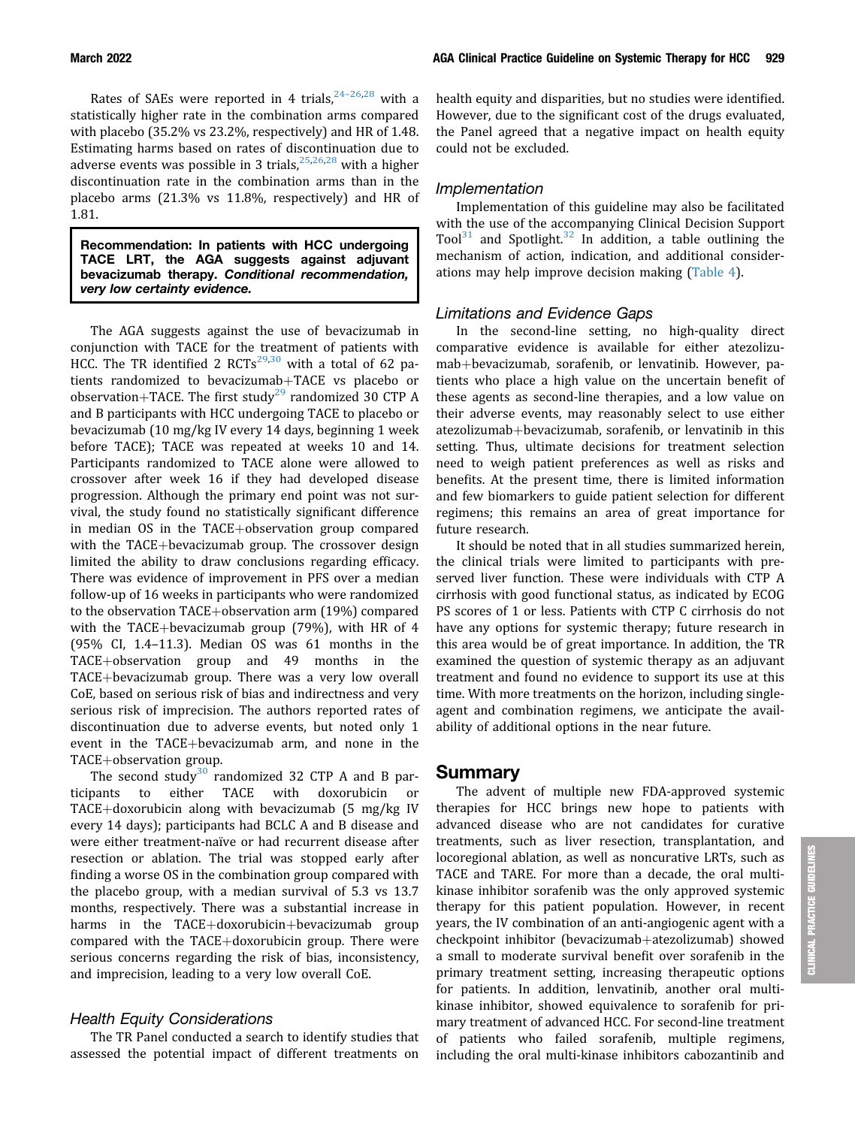March 2022 AGA Clinical Practice Guideline on Systemic Therapy for HCC 929

Rates of SAEs were reported in 4 trials,  $24-26,28$  $24-26,28$  $24-26,28$  $24-26,28$  with a statistically higher rate in the combination arms compared with placebo (35.2% vs 23.2%, respectively) and HR of 1.48. Estimating harms based on rates of discontinuation due to adverse events was possible in 3 trials,  $25,26,28$  $25,26,28$  $25,26,28$  with a higher discontinuation rate in the combination arms than in the placebo arms (21.3% vs 11.8%, respectively) and HR of 1.81.

Recommendation: In patients with HCC undergoing TACE LRT, the AGA suggests against adjuvant bevacizumab therapy. Conditional recommendation, very low certainty evidence.

The AGA suggests against the use of bevacizumab in conjunction with TACE for the treatment of patients with HCC. The TR identified 2  $RCTs^{29,30}$  $RCTs^{29,30}$  $RCTs^{29,30}$  $RCTs^{29,30}$  $RCTs^{29,30}$  with a total of 62 patients randomized to bevacizumab+TACE vs placebo or observation+TACE. The first study<sup>[29](#page-14-12)</sup> randomized 30 CTP A and B participants with HCC undergoing TACE to placebo or bevacizumab (10 mg/kg IV every 14 days, beginning 1 week before TACE); TACE was repeated at weeks 10 and 14. Participants randomized to TACE alone were allowed to crossover after week 16 if they had developed disease progression. Although the primary end point was not survival, the study found no statistically significant difference in median OS in the  $TACE+observation$  group compared with the TACE+bevacizumab group. The crossover design limited the ability to draw conclusions regarding efficacy. There was evidence of improvement in PFS over a median follow-up of 16 weeks in participants who were randomized to the observation  $TACE+observation$  arm  $(19%)$  compared with the TACE+bevacizumab group (79%), with HR of  $4$ (95% CI, 1.4–11.3). Median OS was 61 months in the  $TACE+observation$  group and 49 months in the TACE+bevacizumab group. There was a very low overall CoE, based on serious risk of bias and indirectness and very serious risk of imprecision. The authors reported rates of discontinuation due to adverse events, but noted only 1 event in the TACE+bevacizumab arm, and none in the  $TACE+observation$  group.

The second study<sup>[30](#page-14-13)</sup> randomized 32 CTP A and B participants to either TACE with doxorubicin or TACE+doxorubicin along with bevacizumab (5 mg/kg IV every 14 days); participants had BCLC A and B disease and were either treatment-naïve or had recurrent disease after resection or ablation. The trial was stopped early after finding a worse OS in the combination group compared with the placebo group, with a median survival of 5.3 vs 13.7 months, respectively. There was a substantial increase in harms in the TACE+doxorubicin+bevacizumab group compared with the  $TACE+doxorubicin$  group. There were serious concerns regarding the risk of bias, inconsistency, and imprecision, leading to a very low overall CoE.

#### Health Equity Considerations

The TR Panel conducted a search to identify studies that assessed the potential impact of different treatments on

health equity and disparities, but no studies were identified. However, due to the significant cost of the drugs evaluated, the Panel agreed that a negative impact on health equity could not be excluded.

#### Implementation

Implementation of this guideline may also be facilitated with the use of the accompanying Clinical Decision Support Tool<sup>[31](#page-14-14)</sup> and Spotlight.<sup>[32](#page-14-15)</sup> In addition, a table outlining the mechanism of action, indication, and additional considerations may help improve decision making ([Table 4](#page-10-0)).

#### Limitations and Evidence Gaps

In the second-line setting, no high-quality direct comparative evidence is available for either atezolizumab+bevacizumab, sorafenib, or lenvatinib. However, patients who place a high value on the uncertain benefit of these agents as second-line therapies, and a low value on their adverse events, may reasonably select to use either atezolizumab+bevacizumab, sorafenib, or lenvatinib in this setting. Thus, ultimate decisions for treatment selection need to weigh patient preferences as well as risks and benefits. At the present time, there is limited information and few biomarkers to guide patient selection for different regimens; this remains an area of great importance for future research.

It should be noted that in all studies summarized herein, the clinical trials were limited to participants with preserved liver function. These were individuals with CTP A cirrhosis with good functional status, as indicated by ECOG PS scores of 1 or less. Patients with CTP C cirrhosis do not have any options for systemic therapy; future research in this area would be of great importance. In addition, the TR examined the question of systemic therapy as an adjuvant treatment and found no evidence to support its use at this time. With more treatments on the horizon, including singleagent and combination regimens, we anticipate the availability of additional options in the near future.

#### Summary

The advent of multiple new FDA-approved systemic therapies for HCC brings new hope to patients with advanced disease who are not candidates for curative treatments, such as liver resection, transplantation, and locoregional ablation, as well as noncurative LRTs, such as TACE and TARE. For more than a decade, the oral multikinase inhibitor sorafenib was the only approved systemic therapy for this patient population. However, in recent years, the IV combination of an anti-angiogenic agent with a checkpoint inhibitor (bevacizumab+atezolizumab) showed a small to moderate survival benefit over sorafenib in the primary treatment setting, increasing therapeutic options for patients. In addition, lenvatinib, another oral multikinase inhibitor, showed equivalence to sorafenib for primary treatment of advanced HCC. For second-line treatment of patients who failed sorafenib, multiple regimens, including the oral multi-kinase inhibitors cabozantinib and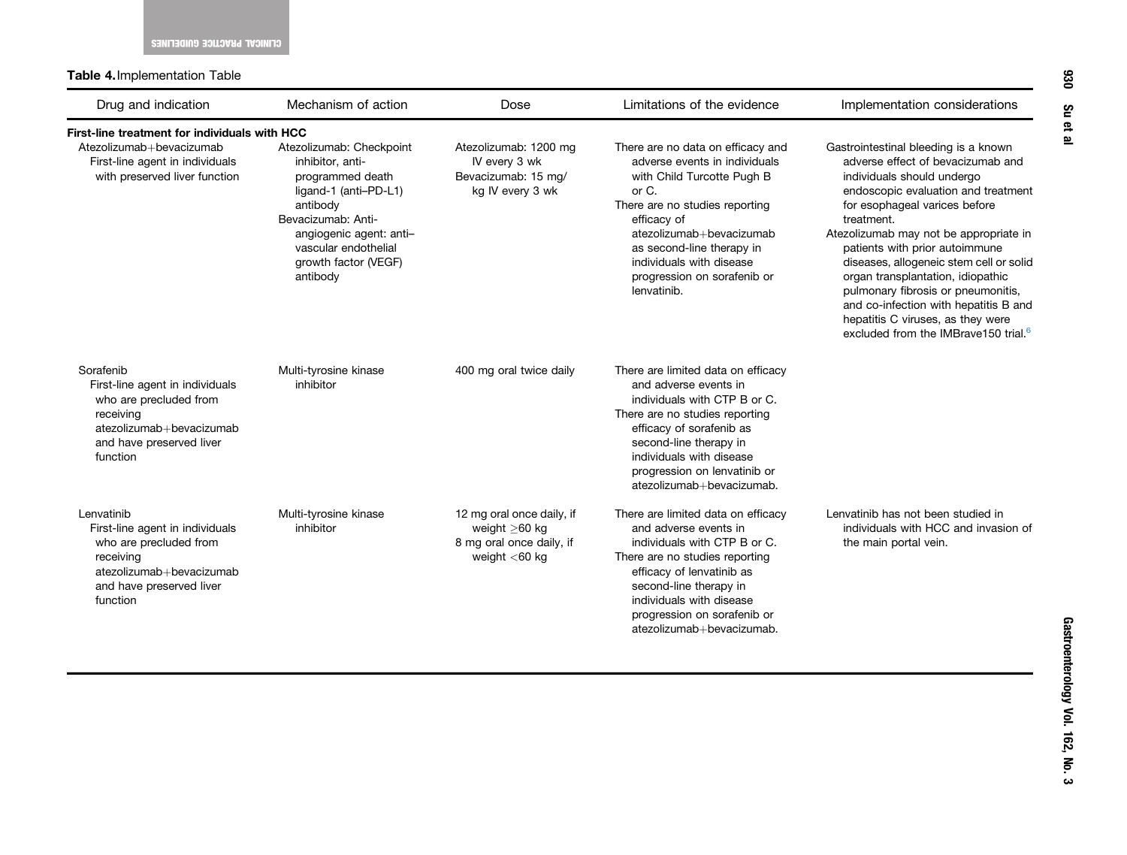Table 4.Implementation Table

<span id="page-10-0"></span>

| Drug and indication                                                                                                                                      | Mechanism of action                                                                                                                                                                                                | Dose                                                                                         | Limitations of the evidence                                                                                                                                                                                                                                                                   | Implementation considerations                                                                                                                                                                                                                                                                                                                                                                                                                                                                                                     |
|----------------------------------------------------------------------------------------------------------------------------------------------------------|--------------------------------------------------------------------------------------------------------------------------------------------------------------------------------------------------------------------|----------------------------------------------------------------------------------------------|-----------------------------------------------------------------------------------------------------------------------------------------------------------------------------------------------------------------------------------------------------------------------------------------------|-----------------------------------------------------------------------------------------------------------------------------------------------------------------------------------------------------------------------------------------------------------------------------------------------------------------------------------------------------------------------------------------------------------------------------------------------------------------------------------------------------------------------------------|
| First-line treatment for individuals with HCC                                                                                                            |                                                                                                                                                                                                                    |                                                                                              |                                                                                                                                                                                                                                                                                               |                                                                                                                                                                                                                                                                                                                                                                                                                                                                                                                                   |
| Atezolizumab+bevacizumab<br>First-line agent in individuals<br>with preserved liver function                                                             | Atezolizumab: Checkpoint<br>inhibitor, anti-<br>programmed death<br>ligand-1 (anti-PD-L1)<br>antibody<br>Bevacizumab: Anti-<br>angiogenic agent: anti-<br>vascular endothelial<br>growth factor (VEGF)<br>antibody | Atezolizumab: 1200 mg<br>IV every 3 wk<br>Bevacizumab: 15 mg/<br>kg IV every 3 wk            | There are no data on efficacy and<br>adverse events in individuals<br>with Child Turcotte Pugh B<br>or C.<br>There are no studies reporting<br>efficacy of<br>atezolizumab+bevacizumab<br>as second-line therapy in<br>individuals with disease<br>progression on sorafenib or<br>lenvatinib. | Gastrointestinal bleeding is a known<br>adverse effect of bevacizumab and<br>individuals should undergo<br>endoscopic evaluation and treatment<br>for esophageal varices before<br>treatment.<br>Atezolizumab may not be appropriate in<br>patients with prior autoimmune<br>diseases, allogeneic stem cell or solid<br>organ transplantation, idiopathic<br>pulmonary fibrosis or pneumonitis,<br>and co-infection with hepatitis B and<br>hepatitis C viruses, as they were<br>excluded from the IMBrave150 trial. <sup>6</sup> |
| Sorafenib<br>First-line agent in individuals<br>who are precluded from<br>receiving<br>atezolizumab+bevacizumab<br>and have preserved liver<br>function  | Multi-tyrosine kinase<br>inhibitor                                                                                                                                                                                 | 400 mg oral twice daily                                                                      | There are limited data on efficacy<br>and adverse events in<br>individuals with CTP B or C.<br>There are no studies reporting<br>efficacy of sorafenib as<br>second-line therapy in<br>individuals with disease<br>progression on lenvatinib or<br>atezolizumab+bevacizumab.                  |                                                                                                                                                                                                                                                                                                                                                                                                                                                                                                                                   |
| Lenvatinib<br>First-line agent in individuals<br>who are precluded from<br>receiving<br>atezolizumab+bevacizumab<br>and have preserved liver<br>function | Multi-tyrosine kinase<br>inhibitor                                                                                                                                                                                 | 12 mg oral once daily, if<br>weight $>60$ kg<br>8 mg oral once daily, if<br>weight $<$ 60 kg | There are limited data on efficacy<br>and adverse events in<br>individuals with CTP B or C.<br>There are no studies reporting<br>efficacy of lenvatinib as<br>second-line therapy in<br>individuals with disease<br>progression on sorafenib or<br>atezolizumab+bevacizumab.                  | Lenvatinib has not been studied in<br>individuals with HCC and invasion of<br>the main portal vein.                                                                                                                                                                                                                                                                                                                                                                                                                               |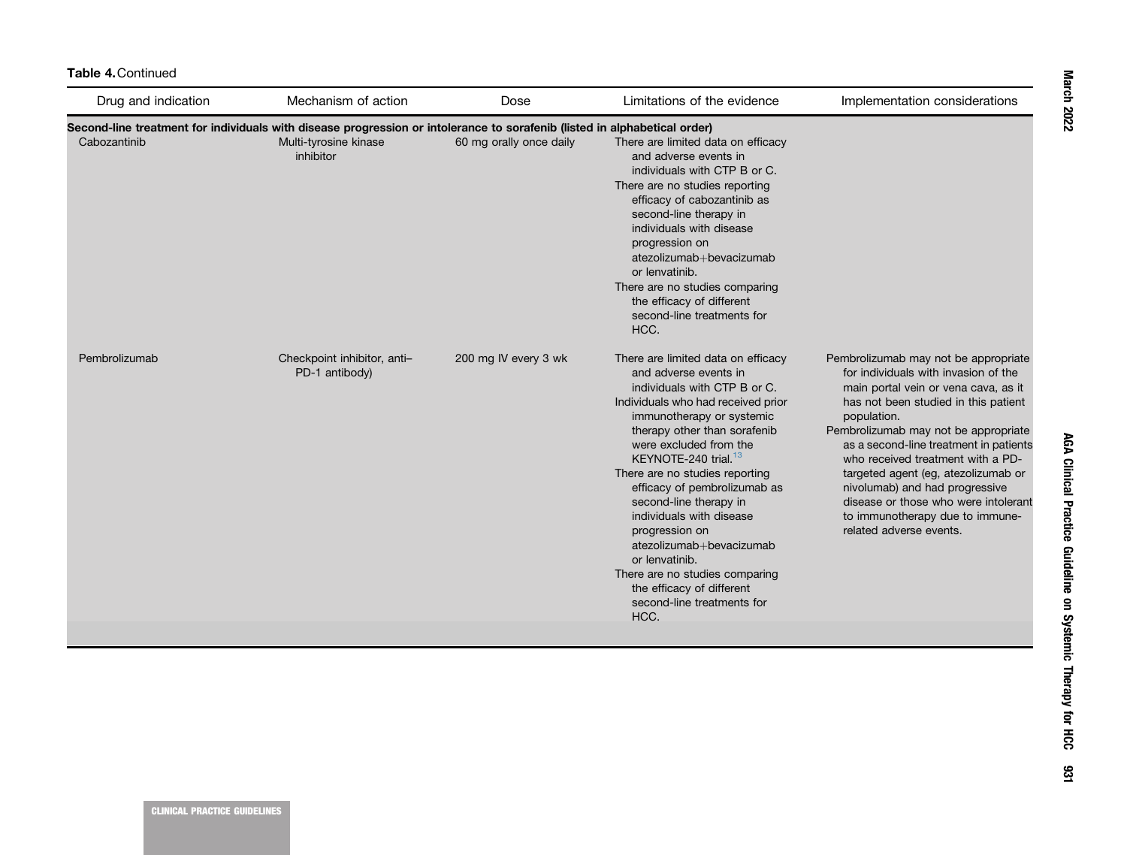| Drug and indication | Mechanism of action                                                                                                       | Dose                    | Limitations of the evidence                                                                                                                                                                                                                                                                                                                                                                                                                                                                                                                               | Implementation considerations                                                                                                                                                                                                                                                                                                                                                                                                                                                     |
|---------------------|---------------------------------------------------------------------------------------------------------------------------|-------------------------|-----------------------------------------------------------------------------------------------------------------------------------------------------------------------------------------------------------------------------------------------------------------------------------------------------------------------------------------------------------------------------------------------------------------------------------------------------------------------------------------------------------------------------------------------------------|-----------------------------------------------------------------------------------------------------------------------------------------------------------------------------------------------------------------------------------------------------------------------------------------------------------------------------------------------------------------------------------------------------------------------------------------------------------------------------------|
|                     | Second-line treatment for individuals with disease progression or intolerance to sorafenib (listed in alphabetical order) |                         |                                                                                                                                                                                                                                                                                                                                                                                                                                                                                                                                                           |                                                                                                                                                                                                                                                                                                                                                                                                                                                                                   |
| Cabozantinib        | Multi-tyrosine kinase<br>inhibitor                                                                                        | 60 mg orally once daily | There are limited data on efficacy<br>and adverse events in<br>individuals with CTP B or C.<br>There are no studies reporting<br>efficacy of cabozantinib as<br>second-line therapy in<br>individuals with disease<br>progression on<br>atezolizumab+bevacizumab<br>or lenvatinib.<br>There are no studies comparing<br>the efficacy of different<br>second-line treatments for<br>HCC.                                                                                                                                                                   |                                                                                                                                                                                                                                                                                                                                                                                                                                                                                   |
| Pembrolizumab       | Checkpoint inhibitor, anti-<br>PD-1 antibody)                                                                             | 200 mg IV every 3 wk    | There are limited data on efficacy<br>and adverse events in<br>individuals with CTP B or C.<br>Individuals who had received prior<br>immunotherapy or systemic<br>therapy other than sorafenib<br>were excluded from the<br>KEYNOTE-240 trial. <sup>13</sup><br>There are no studies reporting<br>efficacy of pembrolizumab as<br>second-line therapy in<br>individuals with disease<br>progression on<br>atezolizumab+bevacizumab<br>or lenvatinib.<br>There are no studies comparing<br>the efficacy of different<br>second-line treatments for<br>HCC. | Pembrolizumab may not be appropriate<br>for individuals with invasion of the<br>main portal vein or vena cava, as it<br>has not been studied in this patient<br>population.<br>Pembrolizumab may not be appropriate<br>as a second-line treatment in patients<br>who received treatment with a PD-<br>targeted agent (eg, atezolizumab or<br>nivolumab) and had progressive<br>disease or those who were intolerant<br>to immunotherapy due to immune-<br>related adverse events. |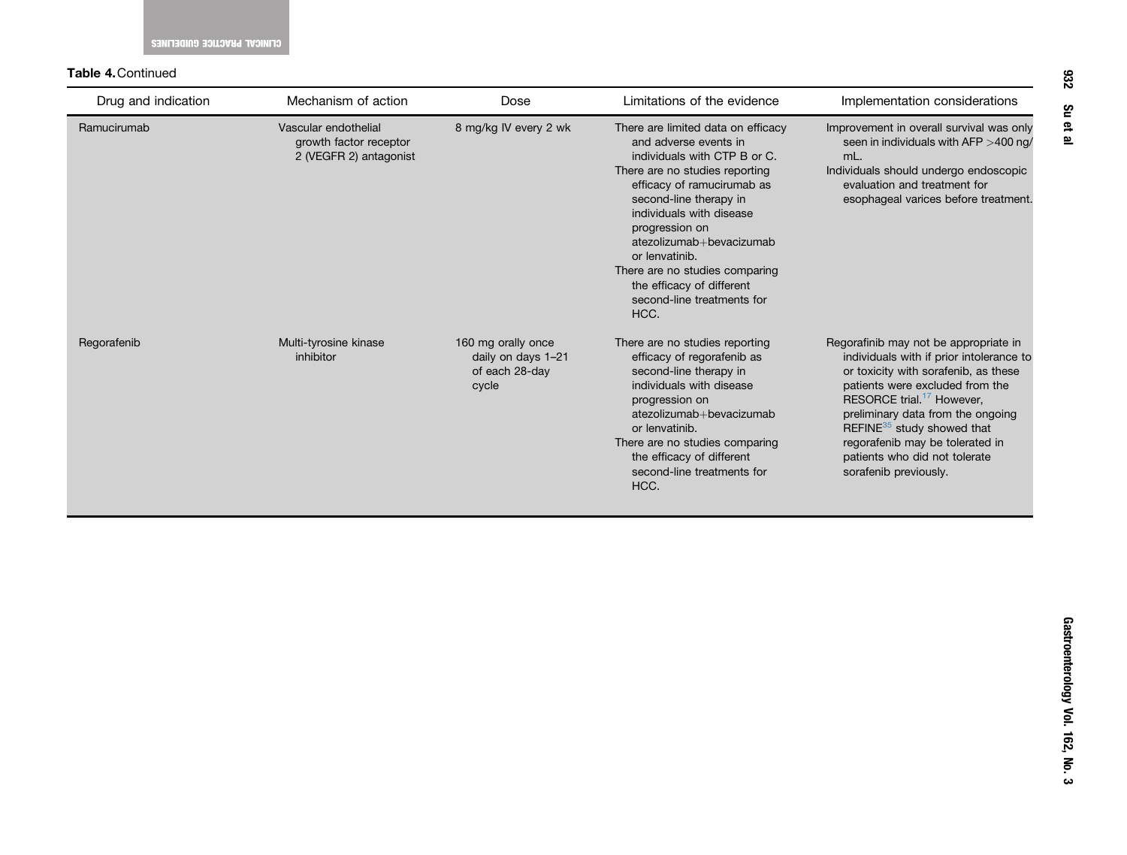#### Table 4.Continued

| Drug and indication | Mechanism of action                                                      | Dose                                                                | Limitations of the evidence                                                                                                                                                                                                                                                                                                                                                            | Implementation considerations                                                                                                                                                                                                                                                                                                                                                     |
|---------------------|--------------------------------------------------------------------------|---------------------------------------------------------------------|----------------------------------------------------------------------------------------------------------------------------------------------------------------------------------------------------------------------------------------------------------------------------------------------------------------------------------------------------------------------------------------|-----------------------------------------------------------------------------------------------------------------------------------------------------------------------------------------------------------------------------------------------------------------------------------------------------------------------------------------------------------------------------------|
| Ramucirumab         | Vascular endothelial<br>growth factor receptor<br>2 (VEGFR 2) antagonist | 8 mg/kg IV every 2 wk                                               | There are limited data on efficacy<br>and adverse events in<br>individuals with CTP B or C.<br>There are no studies reporting<br>efficacy of ramucirumab as<br>second-line therapy in<br>individuals with disease<br>progression on<br>atezolizumab+bevacizumab<br>or lenvatinib.<br>There are no studies comparing<br>the efficacy of different<br>second-line treatments for<br>HCC. | Improvement in overall survival was only<br>seen in individuals with AFP $>$ 400 ng/<br>mL.<br>Individuals should undergo endoscopic<br>evaluation and treatment for<br>esophageal varices before treatment.                                                                                                                                                                      |
| Regorafenib         | Multi-tyrosine kinase<br>inhibitor                                       | 160 mg orally once<br>daily on days 1-21<br>of each 28-day<br>cycle | There are no studies reporting<br>efficacy of regorafenib as<br>second-line therapy in<br>individuals with disease<br>progression on<br>atezolizumab+bevacizumab<br>or lenvatinib.<br>There are no studies comparing<br>the efficacy of different<br>second-line treatments for<br>HCC.                                                                                                | Regorafinib may not be appropriate in<br>individuals with if prior intolerance to<br>or toxicity with sorafenib, as these<br>patients were excluded from the<br>RESORCE trial. <sup>17</sup> However,<br>preliminary data from the ongoing<br>REFINE <sup>35</sup> study showed that<br>regorafenib may be tolerated in<br>patients who did not tolerate<br>sorafenib previously. |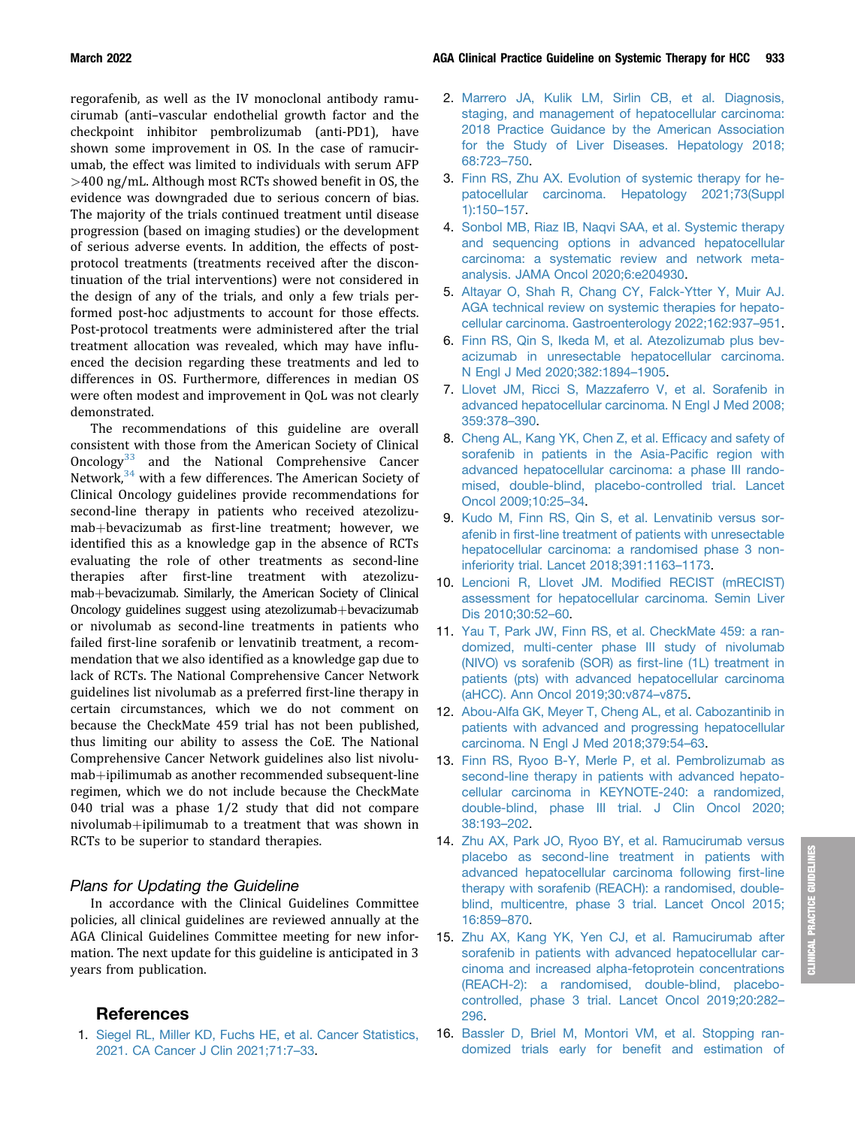regorafenib, as well as the IV monoclonal antibody ramucirumab (anti–vascular endothelial growth factor and the checkpoint inhibitor pembrolizumab (anti-PD1), have shown some improvement in OS. In the case of ramucirumab, the effect was limited to individuals with serum AFP >400 ng/mL. Although most RCTs showed benefit in OS, the evidence was downgraded due to serious concern of bias. The majority of the trials continued treatment until disease progression (based on imaging studies) or the development of serious adverse events. In addition, the effects of postprotocol treatments (treatments received after the discontinuation of the trial interventions) were not considered in the design of any of the trials, and only a few trials performed post-hoc adjustments to account for those effects. Post-protocol treatments were administered after the trial treatment allocation was revealed, which may have influenced the decision regarding these treatments and led to differences in OS. Furthermore, differences in median OS were often modest and improvement in QoL was not clearly demonstrated.

The recommendations of this guideline are overall consistent with those from the American Society of Clinical Oncology $33$  and the National Comprehensive Cancer Network,<sup>[34](#page-14-18)</sup> with a few differences. The American Society of Clinical Oncology guidelines provide recommendations for second-line therapy in patients who received atezolizumab+bevacizumab as first-line treatment; however, we identified this as a knowledge gap in the absence of RCTs evaluating the role of other treatments as second-line therapies after first-line treatment with atezolizumab+bevacizumab. Similarly, the American Society of Clinical Oncology guidelines suggest using atezolizumab+bevacizumab or nivolumab as second-line treatments in patients who failed first-line sorafenib or lenvatinib treatment, a recommendation that we also identified as a knowledge gap due to lack of RCTs. The National Comprehensive Cancer Network guidelines list nivolumab as a preferred first-line therapy in certain circumstances, which we do not comment on because the CheckMate 459 trial has not been published, thus limiting our ability to assess the CoE. The National Comprehensive Cancer Network guidelines also list nivolumab+ipilimumab as another recommended subsequent-line regimen, which we do not include because the CheckMate 040 trial was a phase 1/2 study that did not compare nivolumab+ipilimumab to a treatment that was shown in RCTs to be superior to standard therapies.

#### Plans for Updating the Guideline

In accordance with the Clinical Guidelines Committee policies, all clinical guidelines are reviewed annually at the AGA Clinical Guidelines Committee meeting for new information. The next update for this guideline is anticipated in 3 years from publication.

#### References

<span id="page-13-0"></span>1. [Siegel RL, Miller KD, Fuchs HE, et al. Cancer Statistics,](http://refhub.elsevier.com/S0016-5085(21)04172-X/sref1) [2021. CA Cancer J Clin 2021;71:7](http://refhub.elsevier.com/S0016-5085(21)04172-X/sref1)–[33](http://refhub.elsevier.com/S0016-5085(21)04172-X/sref1).

- <span id="page-13-1"></span>2. [Marrero JA, Kulik LM, Sirlin CB, et al. Diagnosis,](http://refhub.elsevier.com/S0016-5085(21)04172-X/sref2) [staging, and management of hepatocellular carcinoma:](http://refhub.elsevier.com/S0016-5085(21)04172-X/sref2) [2018 Practice Guidance by the American Association](http://refhub.elsevier.com/S0016-5085(21)04172-X/sref2) [for the Study of Liver Diseases. Hepatology 2018;](http://refhub.elsevier.com/S0016-5085(21)04172-X/sref2) [68:723](http://refhub.elsevier.com/S0016-5085(21)04172-X/sref2)–[750](http://refhub.elsevier.com/S0016-5085(21)04172-X/sref2).
- <span id="page-13-2"></span>3. [Finn RS, Zhu AX. Evolution of systemic therapy for he](http://refhub.elsevier.com/S0016-5085(21)04172-X/sref3)[patocellular carcinoma. Hepatology 2021;73\(Suppl](http://refhub.elsevier.com/S0016-5085(21)04172-X/sref3) [1\):150](http://refhub.elsevier.com/S0016-5085(21)04172-X/sref3)–[157.](http://refhub.elsevier.com/S0016-5085(21)04172-X/sref3)
- <span id="page-13-3"></span>4. [Sonbol MB, Riaz IB, Naqvi SAA, et al. Systemic therapy](http://refhub.elsevier.com/S0016-5085(21)04172-X/sref4) [and sequencing options in advanced hepatocellular](http://refhub.elsevier.com/S0016-5085(21)04172-X/sref4) [carcinoma: a systematic review and network meta](http://refhub.elsevier.com/S0016-5085(21)04172-X/sref4)[analysis. JAMA Oncol 2020;6:e204930.](http://refhub.elsevier.com/S0016-5085(21)04172-X/sref4)
- <span id="page-13-4"></span>5. [Altayar O, Shah R, Chang CY, Falck-Ytter Y, Muir AJ.](http://refhub.elsevier.com/S0016-5085(21)04172-X/sref5) [AGA technical review on systemic therapies for hepato](http://refhub.elsevier.com/S0016-5085(21)04172-X/sref5)[cellular carcinoma. Gastroenterology 2022;162:937](http://refhub.elsevier.com/S0016-5085(21)04172-X/sref5)–[951.](http://refhub.elsevier.com/S0016-5085(21)04172-X/sref5)
- <span id="page-13-5"></span>6. [Finn RS, Qin S, Ikeda M, et al. Atezolizumab plus bev](http://refhub.elsevier.com/S0016-5085(21)04172-X/sref6)[acizumab in unresectable hepatocellular carcinoma.](http://refhub.elsevier.com/S0016-5085(21)04172-X/sref6) [N Engl J Med 2020;382:1894](http://refhub.elsevier.com/S0016-5085(21)04172-X/sref6)–[1905.](http://refhub.elsevier.com/S0016-5085(21)04172-X/sref6)
- <span id="page-13-6"></span>7. [Llovet JM, Ricci S, Mazzaferro V, et al. Sorafenib in](http://refhub.elsevier.com/S0016-5085(21)04172-X/sref7) [advanced hepatocellular carcinoma. N Engl J Med 2008;](http://refhub.elsevier.com/S0016-5085(21)04172-X/sref7) [359:378](http://refhub.elsevier.com/S0016-5085(21)04172-X/sref7)–[390](http://refhub.elsevier.com/S0016-5085(21)04172-X/sref7).
- <span id="page-13-17"></span><span id="page-13-16"></span><span id="page-13-7"></span>8. [Cheng AL, Kang YK, Chen Z, et al. Ef](http://refhub.elsevier.com/S0016-5085(21)04172-X/sref8)ficacy and safety of [sorafenib in patients in the Asia-Paci](http://refhub.elsevier.com/S0016-5085(21)04172-X/sref8)fic region with [advanced hepatocellular carcinoma: a phase III rando](http://refhub.elsevier.com/S0016-5085(21)04172-X/sref8)[mised, double-blind, placebo-controlled trial. Lancet](http://refhub.elsevier.com/S0016-5085(21)04172-X/sref8) [Oncol 2009;10:25](http://refhub.elsevier.com/S0016-5085(21)04172-X/sref8)–[34](http://refhub.elsevier.com/S0016-5085(21)04172-X/sref8).
- <span id="page-13-8"></span>9. [Kudo M, Finn RS, Qin S, et al. Lenvatinib versus sor](http://refhub.elsevier.com/S0016-5085(21)04172-X/sref9)afenib in fi[rst-line treatment of patients with unresectable](http://refhub.elsevier.com/S0016-5085(21)04172-X/sref9) [hepatocellular carcinoma: a randomised phase 3 non](http://refhub.elsevier.com/S0016-5085(21)04172-X/sref9)[inferiority trial. Lancet 2018;391:1163](http://refhub.elsevier.com/S0016-5085(21)04172-X/sref9)–[1173.](http://refhub.elsevier.com/S0016-5085(21)04172-X/sref9)
- <span id="page-13-9"></span>10. [Lencioni R, Llovet JM. Modi](http://refhub.elsevier.com/S0016-5085(21)04172-X/sref10)fied RECIST (mRECIST) [assessment for hepatocellular carcinoma. Semin Liver](http://refhub.elsevier.com/S0016-5085(21)04172-X/sref10) [Dis 2010;30:52](http://refhub.elsevier.com/S0016-5085(21)04172-X/sref10)–[60](http://refhub.elsevier.com/S0016-5085(21)04172-X/sref10).
- <span id="page-13-10"></span>11. [Yau T, Park JW, Finn RS, et al. CheckMate 459: a ran](http://refhub.elsevier.com/S0016-5085(21)04172-X/sref11)[domized, multi-center phase III study of nivolumab](http://refhub.elsevier.com/S0016-5085(21)04172-X/sref11) [\(NIVO\) vs sorafenib \(SOR\) as](http://refhub.elsevier.com/S0016-5085(21)04172-X/sref11) first-line (1L) treatment in [patients \(pts\) with advanced hepatocellular carcinoma](http://refhub.elsevier.com/S0016-5085(21)04172-X/sref11) [\(aHCC\). Ann Oncol 2019;30:v874](http://refhub.elsevier.com/S0016-5085(21)04172-X/sref11)–[v875.](http://refhub.elsevier.com/S0016-5085(21)04172-X/sref11)
- <span id="page-13-11"></span>12. [Abou-Alfa GK, Meyer T, Cheng AL, et al. Cabozantinib in](http://refhub.elsevier.com/S0016-5085(21)04172-X/sref12) [patients with advanced and progressing hepatocellular](http://refhub.elsevier.com/S0016-5085(21)04172-X/sref12) [carcinoma. N Engl J Med 2018;379:54](http://refhub.elsevier.com/S0016-5085(21)04172-X/sref12)–[63.](http://refhub.elsevier.com/S0016-5085(21)04172-X/sref12)
- <span id="page-13-12"></span>13. [Finn RS, Ryoo B-Y, Merle P, et al. Pembrolizumab as](http://refhub.elsevier.com/S0016-5085(21)04172-X/sref13) [second-line therapy in patients with advanced hepato](http://refhub.elsevier.com/S0016-5085(21)04172-X/sref13)[cellular carcinoma in KEYNOTE-240: a randomized,](http://refhub.elsevier.com/S0016-5085(21)04172-X/sref13) [double-blind, phase III trial. J Clin Oncol 2020;](http://refhub.elsevier.com/S0016-5085(21)04172-X/sref13) [38:193](http://refhub.elsevier.com/S0016-5085(21)04172-X/sref13)–[202](http://refhub.elsevier.com/S0016-5085(21)04172-X/sref13).
- <span id="page-13-13"></span>14. [Zhu AX, Park JO, Ryoo BY, et al. Ramucirumab versus](http://refhub.elsevier.com/S0016-5085(21)04172-X/sref14) [placebo as second-line treatment in patients with](http://refhub.elsevier.com/S0016-5085(21)04172-X/sref14) [advanced hepatocellular carcinoma following](http://refhub.elsevier.com/S0016-5085(21)04172-X/sref14) first-line [therapy with sorafenib \(REACH\): a randomised, double](http://refhub.elsevier.com/S0016-5085(21)04172-X/sref14)[blind, multicentre, phase 3 trial. Lancet Oncol 2015;](http://refhub.elsevier.com/S0016-5085(21)04172-X/sref14) [16:859](http://refhub.elsevier.com/S0016-5085(21)04172-X/sref14)–[870](http://refhub.elsevier.com/S0016-5085(21)04172-X/sref14).
- <span id="page-13-14"></span>15. [Zhu AX, Kang YK, Yen CJ, et al. Ramucirumab after](http://refhub.elsevier.com/S0016-5085(21)04172-X/sref15) [sorafenib in patients with advanced hepatocellular car](http://refhub.elsevier.com/S0016-5085(21)04172-X/sref15)[cinoma and increased alpha-fetoprotein concentrations](http://refhub.elsevier.com/S0016-5085(21)04172-X/sref15) [\(REACH-2\): a randomised, double-blind, placebo](http://refhub.elsevier.com/S0016-5085(21)04172-X/sref15)[controlled, phase 3 trial. Lancet Oncol 2019;20:282](http://refhub.elsevier.com/S0016-5085(21)04172-X/sref15)– [296.](http://refhub.elsevier.com/S0016-5085(21)04172-X/sref15)
- <span id="page-13-15"></span>16. [Bassler D, Briel M, Montori VM, et al. Stopping ran](http://refhub.elsevier.com/S0016-5085(21)04172-X/sref16)[domized trials early for bene](http://refhub.elsevier.com/S0016-5085(21)04172-X/sref16)fit and estimation of